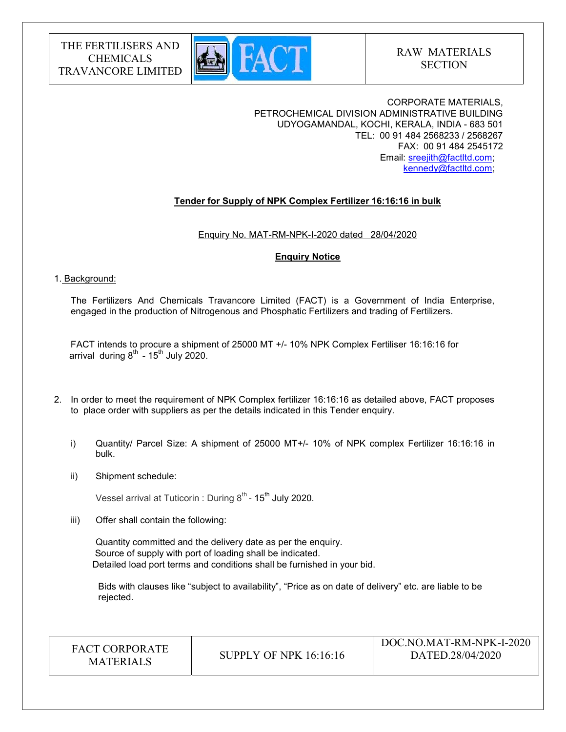

CORPORATE MATERIALS, PETROCHEMICAL DIVISION ADMINISTRATIVE BUILDING UDYOGAMANDAL, KOCHI, KERALA, INDIA - 683 501 TEL: 00 91 484 2568233 / 2568267 FAX: 00 91 484 2545172 Email: sreejith@factltd.com; kennedy@factltd.com;

## Tender for Supply of NPK Complex Fertilizer 16:16:16 in bulk

Enquiry No. MAT-RM-NPK-I-2020 dated 28/04/2020

## Enquiry Notice

## 1. Background:

The Fertilizers And Chemicals Travancore Limited (FACT) is a Government of India Enterprise, engaged in the production of Nitrogenous and Phosphatic Fertilizers and trading of Fertilizers.

 FACT intends to procure a shipment of 25000 MT +/- 10% NPK Complex Fertiliser 16:16:16 for arrival during  $8^{th}$  - 15<sup>th</sup> July 2020.

- 2. In order to meet the requirement of NPK Complex fertilizer 16:16:16 as detailed above, FACT proposes to place order with suppliers as per the details indicated in this Tender enquiry.
	- i) Quantity/ Parcel Size: A shipment of 25000 MT+/- 10% of NPK complex Fertilizer 16:16:16 in bulk.
	- ii) Shipment schedule:

Vessel arrival at Tuticorin : During 8 $^{\rm th}$ - 15 $^{\rm th}$  July 2020.

iii) Offer shall contain the following:

Quantity committed and the delivery date as per the enquiry. Source of supply with port of loading shall be indicated. Detailed load port terms and conditions shall be furnished in your bid.

 Bids with clauses like "subject to availability", "Price as on date of delivery" etc. are liable to be rejected.

FACT CORPORATE

ET CONFORATE SUPPLY OF NPK 16:16:16<br>MATERIALS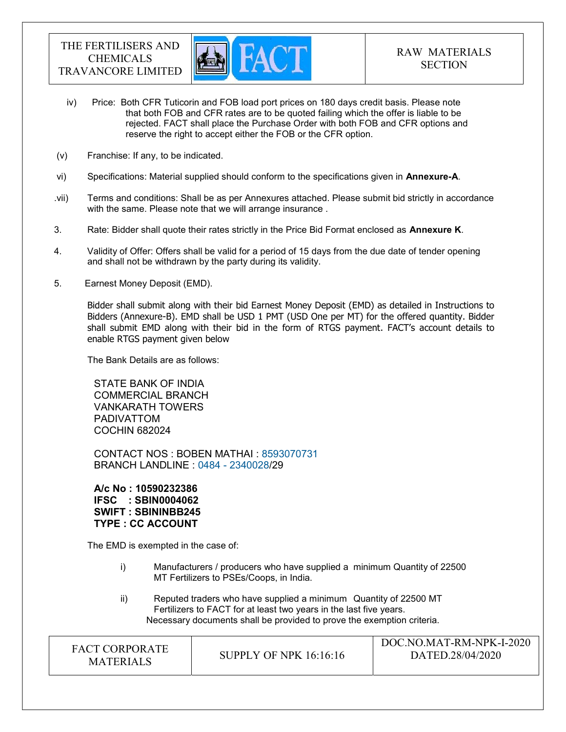

- iv) Price: Both CFR Tuticorin and FOB load port prices on 180 days credit basis. Please note that both FOB and CFR rates are to be quoted failing which the offer is liable to be rejected. FACT shall place the Purchase Order with both FOB and CFR options and reserve the right to accept either the FOB or the CFR option.
- (v) Franchise: If any, to be indicated.
- vi) Specifications: Material supplied should conform to the specifications given in Annexure-A.
- .vii) Terms and conditions: Shall be as per Annexures attached. Please submit bid strictly in accordance with the same. Please note that we will arrange insurance .
- 3. Rate: Bidder shall quote their rates strictly in the Price Bid Format enclosed as **Annexure K**.
- 4. Validity of Offer: Offers shall be valid for a period of 15 days from the due date of tender opening and shall not be withdrawn by the party during its validity.
- 5. Earnest Money Deposit (EMD).

Bidder shall submit along with their bid Earnest Money Deposit (EMD) as detailed in Instructions to Bidders (Annexure-B). EMD shall be USD 1 PMT (USD One per MT) for the offered quantity. Bidder shall submit EMD along with their bid in the form of RTGS payment. FACT's account details to enable RTGS payment given below

The Bank Details are as follows:

STATE BANK OF INDIA COMMERCIAL BRANCH VANKARATH TOWERS PADIVATTOM COCHIN 682024

CONTACT NOS : BOBEN MATHAI : 8593070731 BRANCH LANDLINE : 0484 - 2340028/29

A/c No : 10590232386 IFSC : SBIN0004062 SWIFT : SBININBB245 TYPE : CC ACCOUNT

The EMD is exempted in the case of:

- i) Manufacturers / producers who have supplied a minimum Quantity of 22500 MT Fertilizers to PSEs/Coops, in India.
- ii) Reputed traders who have supplied a minimum Quantity of 22500 MT Fertilizers to FACT for at least two years in the last five years. Necessary documents shall be provided to prove the exemption criteria.

| <b>FACT CORPORATE</b><br><b>MATERIALS</b> | SUPPLY OF NPK 16:16:16 | DOC.NO.MAT-RM-NPK-I-2020<br>DATED.28/04/2020 |
|-------------------------------------------|------------------------|----------------------------------------------|
|-------------------------------------------|------------------------|----------------------------------------------|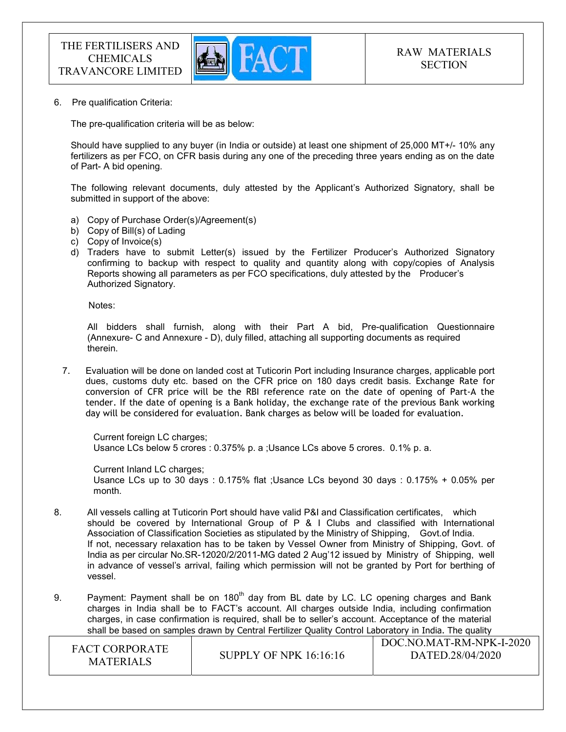

6. Pre qualification Criteria:

The pre-qualification criteria will be as below:

Should have supplied to any buyer (in India or outside) at least one shipment of 25,000 MT+/- 10% any fertilizers as per FCO, on CFR basis during any one of the preceding three years ending as on the date of Part- A bid opening.

The following relevant documents, duly attested by the Applicant's Authorized Signatory, shall be submitted in support of the above:

- a) Copy of Purchase Order(s)/Agreement(s)
- b) Copy of Bill(s) of Lading
- c) Copy of Invoice(s)
- d) Traders have to submit Letter(s) issued by the Fertilizer Producer's Authorized Signatory confirming to backup with respect to quality and quantity along with copy/copies of Analysis Reports showing all parameters as per FCO specifications, duly attested by the Producer's Authorized Signatory.

Notes:

 All bidders shall furnish, along with their Part A bid, Pre-qualification Questionnaire (Annexure- C and Annexure - D), duly filled, attaching all supporting documents as required therein.

7. Evaluation will be done on landed cost at Tuticorin Port including Insurance charges, applicable port dues, customs duty etc. based on the CFR price on 180 days credit basis. Exchange Rate for conversion of CFR price will be the RBI reference rate on the date of opening of Part-A the tender. If the date of opening is a Bank holiday, the exchange rate of the previous Bank working day will be considered for evaluation. Bank charges as below will be loaded for evaluation.

Current foreign LC charges; Usance LCs below 5 crores : 0.375% p. a ;Usance LCs above 5 crores. 0.1% p. a.

Current Inland LC charges; Usance LCs up to 30 days : 0.175% flat ;Usance LCs beyond 30 days : 0.175% + 0.05% per month.

- 8. All vessels calling at Tuticorin Port should have valid P&I and Classification certificates, which should be covered by International Group of P & I Clubs and classified with International Association of Classification Societies as stipulated by the Ministry of Shipping, Govt.of India. If not, necessary relaxation has to be taken by Vessel Owner from Ministry of Shipping, Govt. of India as per circular No.SR-12020/2/2011-MG dated 2 Aug'12 issued by Ministry of Shipping, well in advance of vessel's arrival, failing which permission will not be granted by Port for berthing of vessel.
- 9. Payment: Payment shall be on  $180<sup>th</sup>$  day from BL date by LC. LC opening charges and Bank charges in India shall be to FACT's account. All charges outside India, including confirmation charges, in case confirmation is required, shall be to seller's account. Acceptance of the material shall be based on samples drawn by Central Fertilizer Quality Control Laboratory in India. The quality

| <b>FACT CORPORATE</b><br><b>MATERIALS</b> | <b>SUPPLY OF NPK 16:16:16</b> | DOC.NO.MAT-RM-NPK-I-2020<br>DATED.28/04/2020 |
|-------------------------------------------|-------------------------------|----------------------------------------------|
|-------------------------------------------|-------------------------------|----------------------------------------------|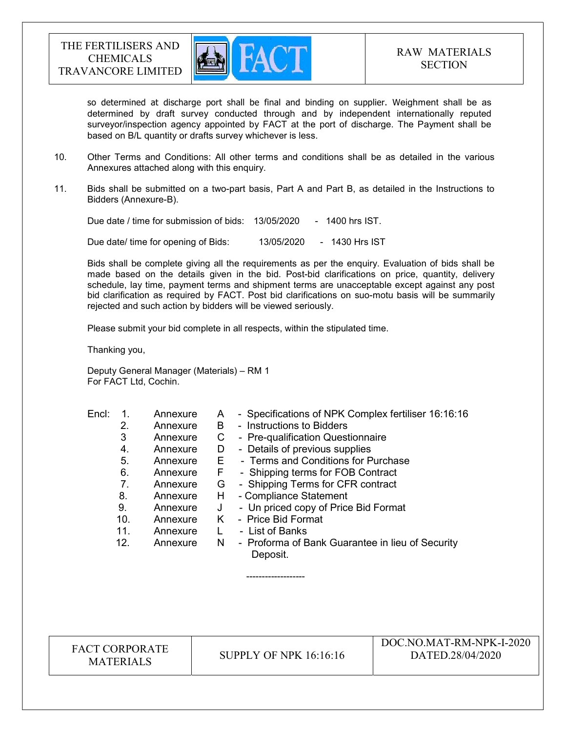

so determined at discharge port shall be final and binding on supplier. Weighment shall be as determined by draft survey conducted through and by independent internationally reputed surveyor/inspection agency appointed by FACT at the port of discharge. The Payment shall be based on B/L quantity or drafts survey whichever is less.

- 10. Other Terms and Conditions: All other terms and conditions shall be as detailed in the various Annexures attached along with this enquiry.
- 11. Bids shall be submitted on a two-part basis, Part A and Part B, as detailed in the Instructions to Bidders (Annexure-B).

Due date / time for submission of bids: 13/05/2020 - 1400 hrs IST.

Due date/ time for opening of Bids: 13/05/2020 - 1430 Hrs IST

 Bids shall be complete giving all the requirements as per the enquiry. Evaluation of bids shall be made based on the details given in the bid. Post-bid clarifications on price, quantity, delivery schedule, lay time, payment terms and shipment terms are unacceptable except against any post bid clarification as required by FACT. Post bid clarifications on suo-motu basis will be summarily rejected and such action by bidders will be viewed seriously.

Please submit your bid complete in all respects, within the stipulated time.

Thanking you,

Deputy General Manager (Materials) – RM 1 For FACT Ltd, Cochin.

-------------------

| Encl: |     | Annexure | A  | - Specifications of NPK Complex fertiliser 16:16:16          |
|-------|-----|----------|----|--------------------------------------------------------------|
|       | 2.  | Annexure | B  | - Instructions to Bidders                                    |
|       | 3   | Annexure | С  | - Pre-qualification Questionnaire                            |
|       | 4.  | Annexure | D  | - Details of previous supplies                               |
|       | 5.  | Annexure | Е  | - Terms and Conditions for Purchase                          |
|       | 6.  | Annexure | F  | - Shipping terms for FOB Contract                            |
|       | 7.  | Annexure | G  | - Shipping Terms for CFR contract                            |
|       | 8.  | Annexure | H. | - Compliance Statement                                       |
|       | 9.  | Annexure | J  | - Un priced copy of Price Bid Format                         |
|       | 10. | Annexure | K. | - Price Bid Format                                           |
|       | 11. | Annexure |    | - List of Banks                                              |
|       | 12. | Annexure | N  | - Proforma of Bank Guarantee in lieu of Security<br>Deposit. |

FACT CORPORATE

ET CONFORATE SUPPLY OF NPK 16:16:16<br>MATERIALS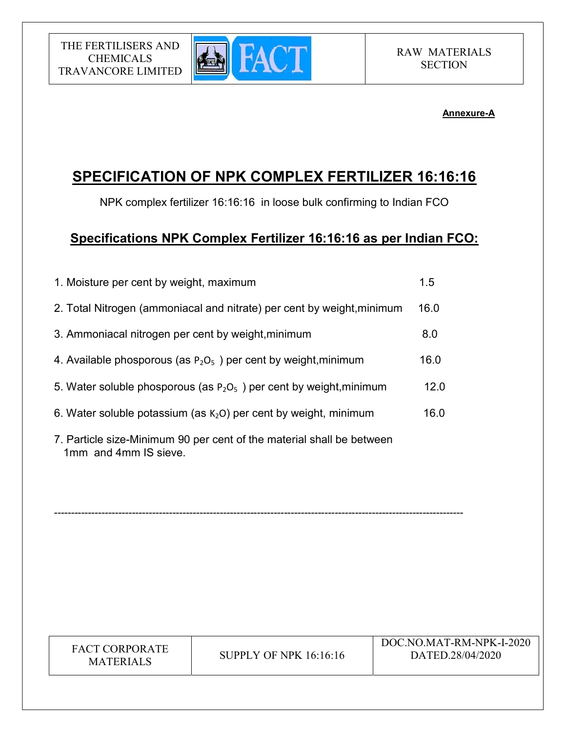

## Annexure-A

# SPECIFICATION OF NPK COMPLEX FERTILIZER 16:16:16

NPK complex fertilizer 16:16:16 in loose bulk confirming to Indian FCO

# Specifications NPK Complex Fertilizer 16:16:16 as per Indian FCO:

| 1. Moisture per cent by weight, maximum                                                        | 1.5  |
|------------------------------------------------------------------------------------------------|------|
| 2. Total Nitrogen (ammoniacal and nitrate) per cent by weight, minimum                         | 16.0 |
| 3. Ammoniacal nitrogen per cent by weight, minimum                                             | 8.0  |
| 4. Available phosporous (as $P_2O_5$ ) per cent by weight, minimum                             | 16.0 |
| 5. Water soluble phosporous (as $P_2O_5$ ) per cent by weight, minimum                         | 12.0 |
| 6. Water soluble potassium (as $K2O$ ) per cent by weight, minimum                             | 16.0 |
| 7. Particle size-Minimum 90 per cent of the material shall be between<br>1mm and 4mm IS sieve. |      |

-------------------------------------------------------------------------------------------------------------------------

| <b>FACT CORPORATE</b><br><b>SUPPLY OF NPK 16:16:16</b><br><b>MATERIALS</b> | DOC.NO.MAT-RM-NPK-I-2020<br>DATED.28/04/2020 |
|----------------------------------------------------------------------------|----------------------------------------------|
|----------------------------------------------------------------------------|----------------------------------------------|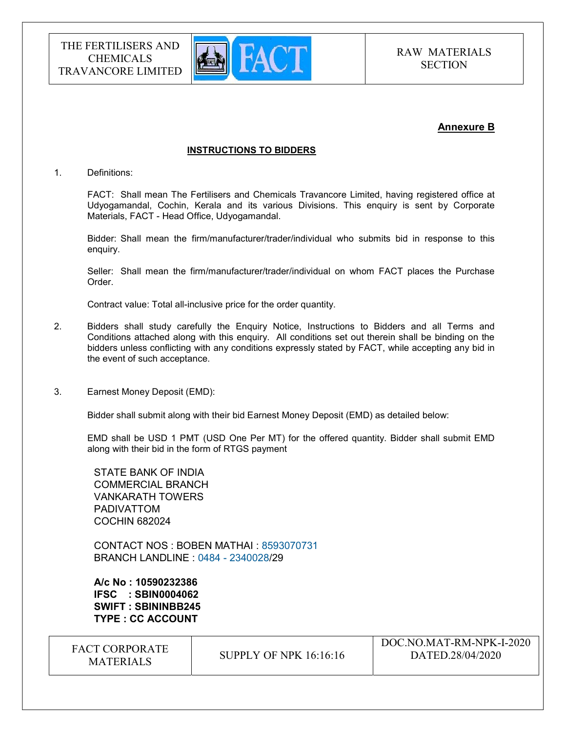

## Annexure B

 $DQQNQM TQN N N N T 2020$ 

#### INSTRUCTIONS TO BIDDERS

#### 1. Definitions:

FACT: Shall mean The Fertilisers and Chemicals Travancore Limited, having registered office at Udyogamandal, Cochin, Kerala and its various Divisions. This enquiry is sent by Corporate Materials, FACT - Head Office, Udyogamandal.

Bidder: Shall mean the firm/manufacturer/trader/individual who submits bid in response to this enquiry.

Seller: Shall mean the firm/manufacturer/trader/individual on whom FACT places the Purchase Order.

Contract value: Total all-inclusive price for the order quantity.

- 2. Bidders shall study carefully the Enquiry Notice, Instructions to Bidders and all Terms and Conditions attached along with this enquiry. All conditions set out therein shall be binding on the bidders unless conflicting with any conditions expressly stated by FACT, while accepting any bid in the event of such acceptance.
- 3. Earnest Money Deposit (EMD):

Bidder shall submit along with their bid Earnest Money Deposit (EMD) as detailed below:

EMD shall be USD 1 PMT (USD One Per MT) for the offered quantity. Bidder shall submit EMD along with their bid in the form of RTGS payment

STATE BANK OF INDIA COMMERCIAL BRANCH VANKARATH TOWERS PADIVATTOM COCHIN 682024

CONTACT NOS : BOBEN MATHAI : 8593070731 BRANCH LANDLINE : 0484 - 2340028/29

A/c No : 10590232386 IFSC : SBIN0004062 SWIFT : SBININBB245 TYPE : CC ACCOUNT

| <b>FACT CORPORATE</b><br><b>MATERIALS</b> | SUPPLY OF NPK $16:16:16$ | $-1$ JOC.NO.MAT-KM-NPK-I-2020<br>DATED.28/04/2020 |
|-------------------------------------------|--------------------------|---------------------------------------------------|
|                                           |                          |                                                   |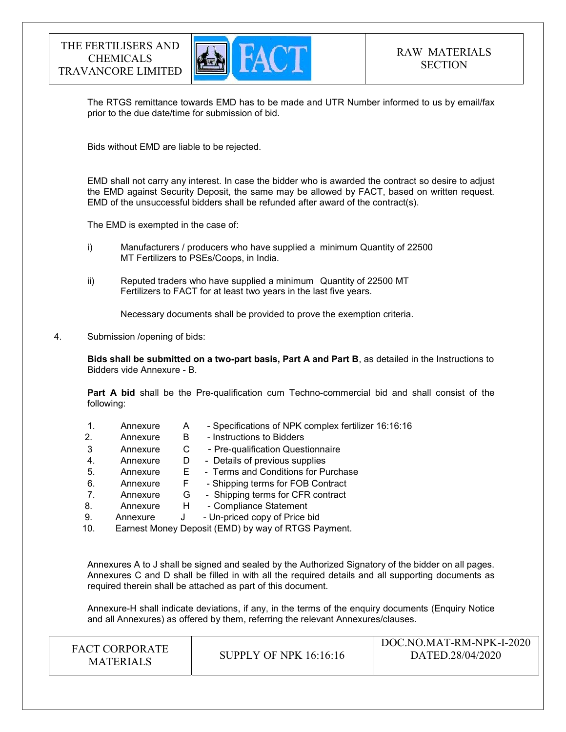

The RTGS remittance towards EMD has to be made and UTR Number informed to us by email/fax prior to the due date/time for submission of bid.

Bids without EMD are liable to be rejected.

EMD shall not carry any interest. In case the bidder who is awarded the contract so desire to adjust the EMD against Security Deposit, the same may be allowed by FACT, based on written request. EMD of the unsuccessful bidders shall be refunded after award of the contract(s).

The EMD is exempted in the case of:

- i) Manufacturers / producers who have supplied a minimum Quantity of 22500 MT Fertilizers to PSEs/Coops, in India.
- ii) Reputed traders who have supplied a minimum Quantity of 22500 MT Fertilizers to FACT for at least two years in the last five years.

Necessary documents shall be provided to prove the exemption criteria.

#### 4. Submission /opening of bids:

Bids shall be submitted on a two-part basis, Part A and Part B, as detailed in the Instructions to Bidders vide Annexure - B.

Part A bid shall be the Pre-qualification cum Techno-commercial bid and shall consist of the following:

|     | Annexure | Α | - Specifications of NPK complex fertilizer 16:16:16 |
|-----|----------|---|-----------------------------------------------------|
| 2.  | Annexure | В | - Instructions to Bidders                           |
| 3   | Annexure | C | - Pre-qualification Questionnaire                   |
| 4.  | Annexure | D | - Details of previous supplies                      |
| 5.  | Annexure | Е | - Terms and Conditions for Purchase                 |
| 6.  | Annexure | ۴ | - Shipping terms for FOB Contract                   |
| 7.  | Annexure | G | - Shipping terms for CFR contract                   |
| 8.  | Annexure | H | - Compliance Statement                              |
| 9.  | Annexure | J | - Un-priced copy of Price bid                       |
| 1 N |          |   | Estreet Manay Denseit (EMD) by way of BTCS Devmant  |

10. Earnest Money Deposit (EMD) by way of RTGS Payment.

Annexures A to J shall be signed and sealed by the Authorized Signatory of the bidder on all pages. Annexures C and D shall be filled in with all the required details and all supporting documents as required therein shall be attached as part of this document.

Annexure-H shall indicate deviations, if any, in the terms of the enquiry documents (Enquiry Notice and all Annexures) as offered by them, referring the relevant Annexures/clauses.

| <b>FACT CORPORATE</b><br>MATERIALS | <b>SUPPLY OF NPK 16:16:16</b> | DOC.NO.MAT-RM-NPK-I-2020<br>DATED.28/04/2020 |
|------------------------------------|-------------------------------|----------------------------------------------|
|------------------------------------|-------------------------------|----------------------------------------------|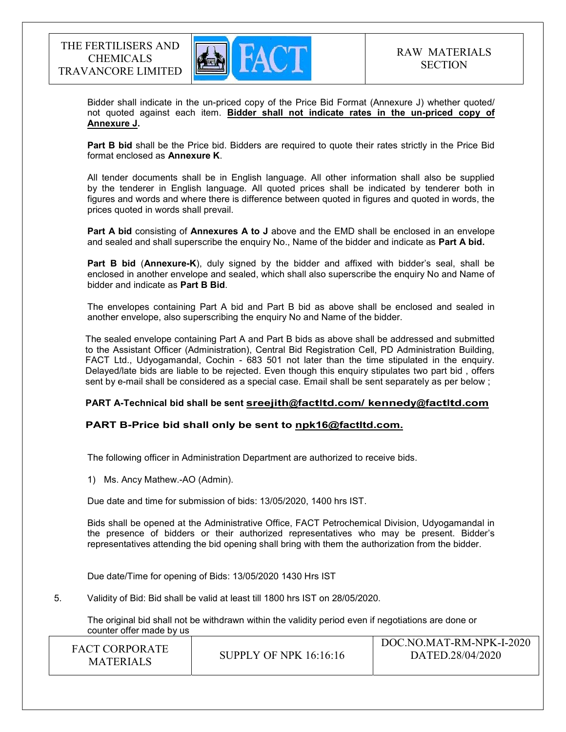

Bidder shall indicate in the un-priced copy of the Price Bid Format (Annexure J) whether quoted/ not quoted against each item. Bidder shall not indicate rates in the un-priced copy of Annexure J.

Part B bid shall be the Price bid. Bidders are required to quote their rates strictly in the Price Bid format enclosed as Annexure K.

 All tender documents shall be in English language. All other information shall also be supplied by the tenderer in English language. All quoted prices shall be indicated by tenderer both in figures and words and where there is difference between quoted in figures and quoted in words, the prices quoted in words shall prevail.

Part A bid consisting of Annexures A to J above and the EMD shall be enclosed in an envelope and sealed and shall superscribe the enquiry No., Name of the bidder and indicate as Part A bid.

Part B bid (Annexure-K), duly signed by the bidder and affixed with bidder's seal, shall be enclosed in another envelope and sealed, which shall also superscribe the enquiry No and Name of bidder and indicate as Part B Bid.

The envelopes containing Part A bid and Part B bid as above shall be enclosed and sealed in another envelope, also superscribing the enquiry No and Name of the bidder.

The sealed envelope containing Part A and Part B bids as above shall be addressed and submitted to the Assistant Officer (Administration), Central Bid Registration Cell, PD Administration Building, FACT Ltd., Udyogamandal, Cochin - 683 501 not later than the time stipulated in the enquiry. Delayed/late bids are liable to be rejected. Even though this enquiry stipulates two part bid , offers sent by e-mail shall be considered as a special case. Email shall be sent separately as per below ;

## PART A-Technical bid shall be sent sreejith@factltd.com/ kennedy@factltd.com

## PART B-Price bid shall only be sent to npk16@factltd.com.

The following officer in Administration Department are authorized to receive bids.

1) Ms. Ancy Mathew.-AO (Admin).

Due date and time for submission of bids: 13/05/2020, 1400 hrs IST.

Bids shall be opened at the Administrative Office, FACT Petrochemical Division, Udyogamandal in the presence of bidders or their authorized representatives who may be present. Bidder's representatives attending the bid opening shall bring with them the authorization from the bidder.

Due date/Time for opening of Bids: 13/05/2020 1430 Hrs IST

5. Validity of Bid: Bid shall be valid at least till 1800 hrs IST on 28/05/2020.

The original bid shall not be withdrawn within the validity period even if negotiations are done or counter offer made by us

| <b>FACT CORPORATE</b> |                        | DOC.NO.MAT-RM-NPK-I-2020 |
|-----------------------|------------------------|--------------------------|
| <b>MATERIALS</b>      | SUPPLY OF NPK 16:16:16 | DATED.28/04/2020         |
|                       |                        |                          |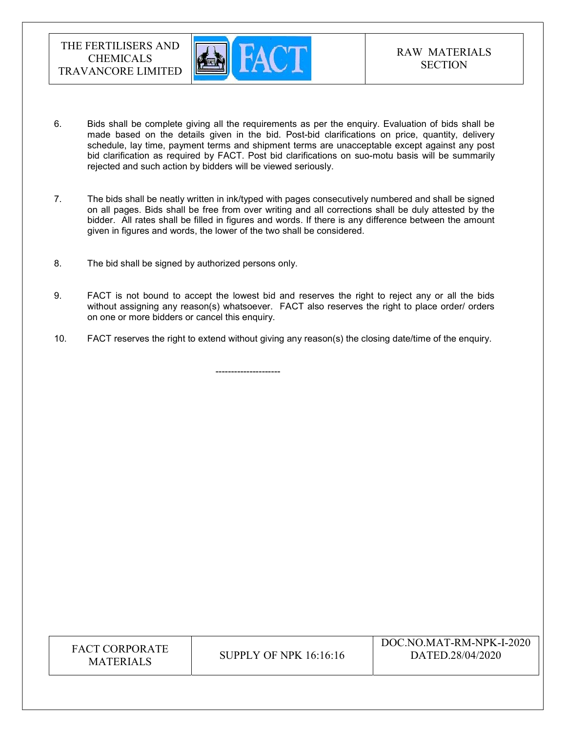

- 6. Bids shall be complete giving all the requirements as per the enquiry. Evaluation of bids shall be made based on the details given in the bid. Post-bid clarifications on price, quantity, delivery schedule, lay time, payment terms and shipment terms are unacceptable except against any post bid clarification as required by FACT. Post bid clarifications on suo-motu basis will be summarily rejected and such action by bidders will be viewed seriously.
- 7. The bids shall be neatly written in ink/typed with pages consecutively numbered and shall be signed on all pages. Bids shall be free from over writing and all corrections shall be duly attested by the bidder. All rates shall be filled in figures and words. If there is any difference between the amount given in figures and words, the lower of the two shall be considered.
- 8. The bid shall be signed by authorized persons only.

---------------------

- 9. FACT is not bound to accept the lowest bid and reserves the right to reject any or all the bids without assigning any reason(s) whatsoever. FACT also reserves the right to place order/ orders on one or more bidders or cancel this enquiry.
- 10. FACT reserves the right to extend without giving any reason(s) the closing date/time of the enquiry.

| FACT CORPORATE<br>SUPPLY OF NPK $16:16:16$<br><b>MATERIALS</b> | DOC.NO.MAT-RM-NPK-I-2020<br>DATED.28/04/2020 |
|----------------------------------------------------------------|----------------------------------------------|
|----------------------------------------------------------------|----------------------------------------------|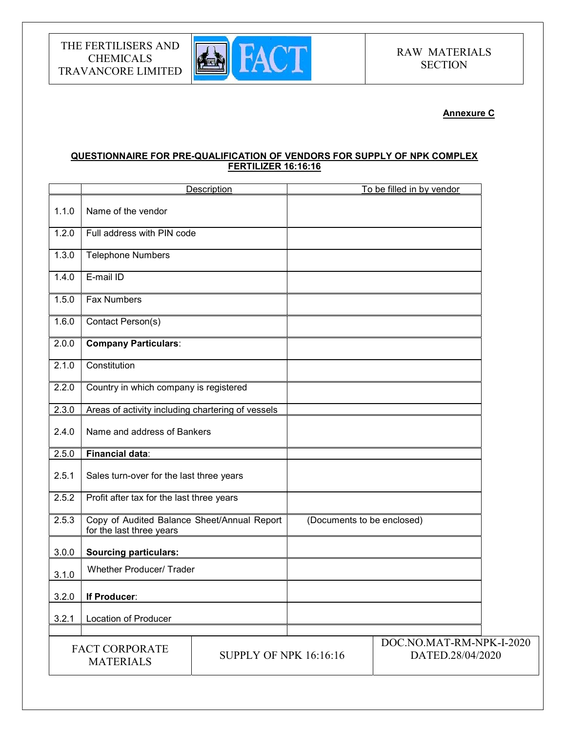

## Annexure C

## QUESTIONNAIRE FOR PRE-QUALIFICATION OF VENDORS FOR SUPPLY OF NPK COMPLEX FERTILIZER 16:16:16

|       |                                                                         | Description                   | To be filled in by vendor                    |  |
|-------|-------------------------------------------------------------------------|-------------------------------|----------------------------------------------|--|
| 1.1.0 | Name of the vendor                                                      |                               |                                              |  |
| 1.2.0 | Full address with PIN code                                              |                               |                                              |  |
| 1.3.0 | <b>Telephone Numbers</b>                                                |                               |                                              |  |
| 1.4.0 | E-mail ID                                                               |                               |                                              |  |
| 1.5.0 | <b>Fax Numbers</b>                                                      |                               |                                              |  |
| 1.6.0 | Contact Person(s)                                                       |                               |                                              |  |
| 2.0.0 | <b>Company Particulars:</b>                                             |                               |                                              |  |
| 2.1.0 | Constitution                                                            |                               |                                              |  |
| 2.2.0 | Country in which company is registered                                  |                               |                                              |  |
| 2.3.0 | Areas of activity including chartering of vessels                       |                               |                                              |  |
| 2.4.0 | Name and address of Bankers                                             |                               |                                              |  |
| 2.5.0 | Financial data:                                                         |                               |                                              |  |
| 2.5.1 | Sales turn-over for the last three years                                |                               |                                              |  |
| 2.5.2 | Profit after tax for the last three years                               |                               |                                              |  |
| 2.5.3 | Copy of Audited Balance Sheet/Annual Report<br>for the last three years |                               | (Documents to be enclosed)                   |  |
| 3.0.0 | <b>Sourcing particulars:</b>                                            |                               |                                              |  |
| 3.1.0 | <b>Whether Producer/ Trader</b>                                         |                               |                                              |  |
| 3.2.0 | If Producer:                                                            |                               |                                              |  |
| 3.2.1 | Location of Producer                                                    |                               |                                              |  |
|       | <b>FACT CORPORATE</b><br><b>MATERIALS</b>                               | <b>SUPPLY OF NPK 16:16:16</b> | DOC.NO.MAT-RM-NPK-I-2020<br>DATED.28/04/2020 |  |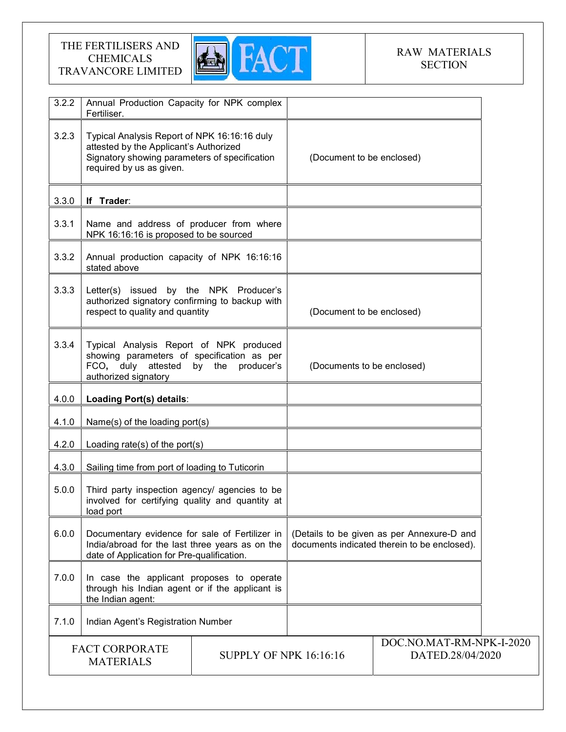

# RAW MATERIALS **SECTION**

| 3.2.2 | Annual Production Capacity for NPK complex<br>Fertiliser.                                                                                                           |                               |                            |                                                                                            |  |
|-------|---------------------------------------------------------------------------------------------------------------------------------------------------------------------|-------------------------------|----------------------------|--------------------------------------------------------------------------------------------|--|
| 3.2.3 | Typical Analysis Report of NPK 16:16:16 duly<br>attested by the Applicant's Authorized<br>Signatory showing parameters of specification<br>required by us as given. |                               | (Document to be enclosed)  |                                                                                            |  |
| 3.3.0 | If Trader:                                                                                                                                                          |                               |                            |                                                                                            |  |
| 3.3.1 | Name and address of producer from where<br>NPK 16:16:16 is proposed to be sourced                                                                                   |                               |                            |                                                                                            |  |
| 3.3.2 | Annual production capacity of NPK 16:16:16<br>stated above                                                                                                          |                               |                            |                                                                                            |  |
| 3.3.3 | Letter(s) issued by the NPK Producer's<br>authorized signatory confirming to backup with<br>respect to quality and quantity                                         |                               | (Document to be enclosed)  |                                                                                            |  |
| 3.3.4 | Typical Analysis Report of NPK produced<br>showing parameters of specification as per<br>FCO, duly attested<br>by the producer's<br>authorized signatory            |                               | (Documents to be enclosed) |                                                                                            |  |
| 4.0.0 | Loading Port(s) details:                                                                                                                                            |                               |                            |                                                                                            |  |
| 4.1.0 | Name(s) of the loading port(s)                                                                                                                                      |                               |                            |                                                                                            |  |
| 4.2.0 | Loading rate(s) of the port(s)                                                                                                                                      |                               |                            |                                                                                            |  |
| 4.3.0 | Sailing time from port of loading to Tuticorin                                                                                                                      |                               |                            |                                                                                            |  |
| 5.0.0 | Third party inspection agency/ agencies to be<br>involved for certifying quality and quantity at<br>load port                                                       |                               |                            |                                                                                            |  |
| 6.0.0 | Documentary evidence for sale of Fertilizer in<br>India/abroad for the last three years as on the<br>date of Application for Pre-qualification.                     |                               |                            | (Details to be given as per Annexure-D and<br>documents indicated therein to be enclosed). |  |
| 7.0.0 | In case the applicant proposes to operate<br>through his Indian agent or if the applicant is<br>the Indian agent:                                                   |                               |                            |                                                                                            |  |
| 7.1.0 | Indian Agent's Registration Number                                                                                                                                  |                               |                            |                                                                                            |  |
|       | <b>FACT CORPORATE</b><br><b>MATERIALS</b>                                                                                                                           | <b>SUPPLY OF NPK 16:16:16</b> |                            | DOC.NO.MAT-RM-NPK-I-2020<br>DATED.28/04/2020                                               |  |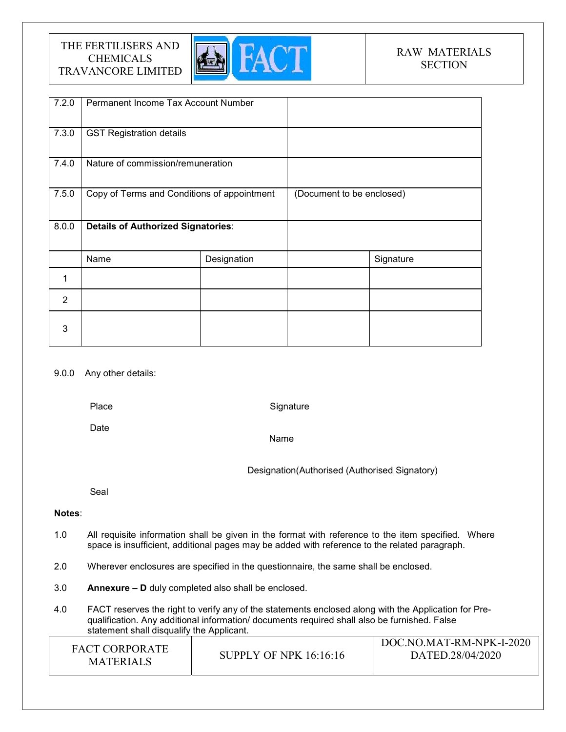

# RAW MATERIALS **SECTION**

| 7.2.0          | Permanent Income Tax Account Number         |             |                           |           |
|----------------|---------------------------------------------|-------------|---------------------------|-----------|
| 7.3.0          | <b>GST Registration details</b>             |             |                           |           |
| 7.4.0          | Nature of commission/remuneration           |             |                           |           |
| 7.5.0          | Copy of Terms and Conditions of appointment |             | (Document to be enclosed) |           |
| 8.0.0          | <b>Details of Authorized Signatories:</b>   |             |                           |           |
|                | Name                                        | Designation |                           | Signature |
| 1              |                                             |             |                           |           |
| $\overline{2}$ |                                             |             |                           |           |
| 3              |                                             |             |                           |           |

#### 9.0.0 Any other details:

Place

**Signature** 

Date

Name

Designation(Authorised (Authorised Signatory)

Seal

## Notes:

- 1.0 All requisite information shall be given in the format with reference to the item specified. Where space is insufficient, additional pages may be added with reference to the related paragraph.
- 2.0 Wherever enclosures are specified in the questionnaire, the same shall be enclosed.
- 3.0 Annexure D duly completed also shall be enclosed.
- 4.0 FACT reserves the right to verify any of the statements enclosed along with the Application for Prequalification. Any additional information/ documents required shall also be furnished. False statement shall disqualify the Applicant.

| <b>FACT CORPORATE</b><br><b>MATERIALS</b> | <b>SUPPLY OF NPK 16:16:16</b> | DOC.NO.MAT-RM-NPK-I-2020<br>DATED.28/04/2020 |
|-------------------------------------------|-------------------------------|----------------------------------------------|
|-------------------------------------------|-------------------------------|----------------------------------------------|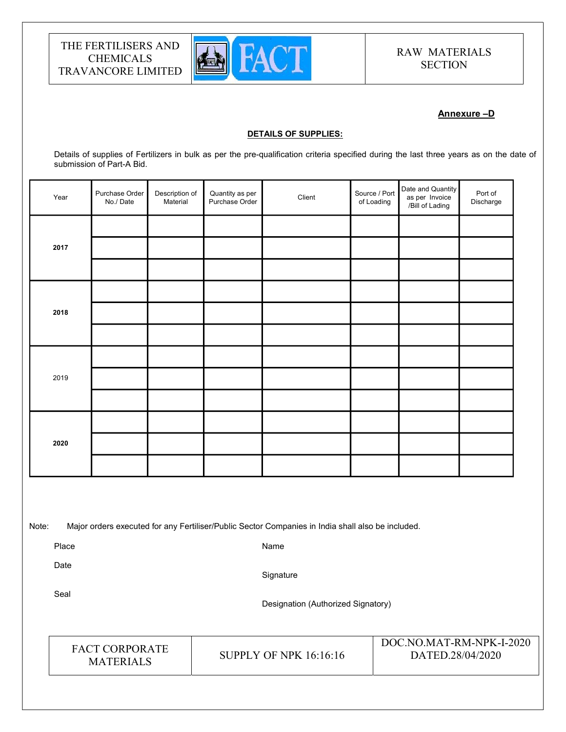

# RAW MATERIALS **SECTION**

## Annexure –D

#### DETAILS OF SUPPLIES:

Details of supplies of Fertilizers in bulk as per the pre-qualification criteria specified during the last three years as on the date of submission of Part-A Bid.

| Year              |  | Purchase Order<br>No./Date | Description of<br>Material         | Quantity as per<br>Purchase Order | Client                                                                                            | Source / Port<br>of Loading | Date and Quantity<br>as per Invoice<br>/Bill of Lading | Port of<br>Discharge |  |
|-------------------|--|----------------------------|------------------------------------|-----------------------------------|---------------------------------------------------------------------------------------------------|-----------------------------|--------------------------------------------------------|----------------------|--|
|                   |  |                            |                                    |                                   |                                                                                                   |                             |                                                        |                      |  |
| 2017              |  |                            |                                    |                                   |                                                                                                   |                             |                                                        |                      |  |
|                   |  |                            |                                    |                                   |                                                                                                   |                             |                                                        |                      |  |
|                   |  |                            |                                    |                                   |                                                                                                   |                             |                                                        |                      |  |
| 2018              |  |                            |                                    |                                   |                                                                                                   |                             |                                                        |                      |  |
|                   |  |                            |                                    |                                   |                                                                                                   |                             |                                                        |                      |  |
|                   |  |                            |                                    |                                   |                                                                                                   |                             |                                                        |                      |  |
| 2019              |  |                            |                                    |                                   |                                                                                                   |                             |                                                        |                      |  |
|                   |  |                            |                                    |                                   |                                                                                                   |                             |                                                        |                      |  |
|                   |  |                            |                                    |                                   |                                                                                                   |                             |                                                        |                      |  |
| 2020              |  |                            |                                    |                                   |                                                                                                   |                             |                                                        |                      |  |
|                   |  |                            |                                    |                                   |                                                                                                   |                             |                                                        |                      |  |
|                   |  |                            |                                    |                                   |                                                                                                   |                             |                                                        |                      |  |
|                   |  |                            |                                    |                                   |                                                                                                   |                             |                                                        |                      |  |
| Note:             |  |                            |                                    |                                   | Major orders executed for any Fertiliser/Public Sector Companies in India shall also be included. |                             |                                                        |                      |  |
| Place<br>Name     |  |                            |                                    |                                   |                                                                                                   |                             |                                                        |                      |  |
| Date<br>Signature |  |                            |                                    |                                   |                                                                                                   |                             |                                                        |                      |  |
| Seal              |  |                            | Designation (Authorized Signatory) |                                   |                                                                                                   |                             |                                                        |                      |  |
|                   |  |                            |                                    |                                   |                                                                                                   |                             |                                                        |                      |  |

FACT CORPORATE

ET CONFORATE SUPPLY OF NPK 16:16:16<br>MATERIALS

DOC.NO.MAT-RM-NPK-I-2020 DATED.28/04/2020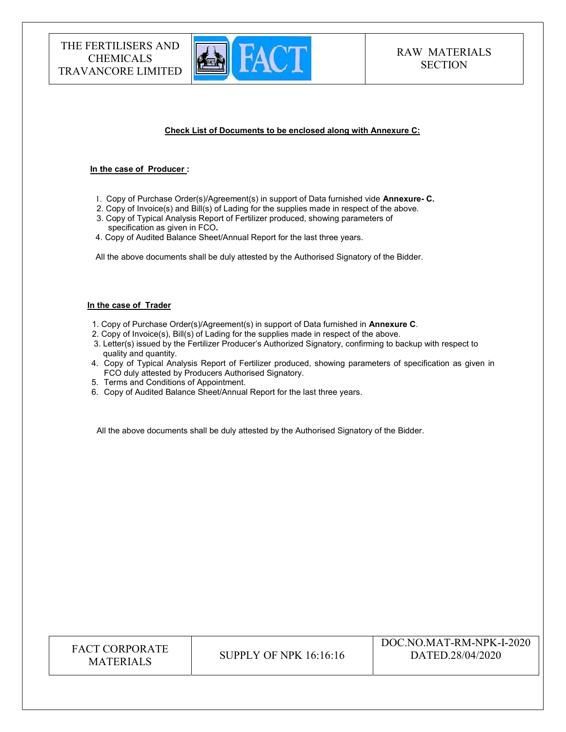

#### Check List of Documents to be enclosed along with Annexure C:

#### In the case of Producer :

- 1. Copy of Purchase Order(s)/Agreement(s) in support of Data furnished vide Annexure- C.
- 2. Copy of Invoice(s) and Bill(s) of Lading for the supplies made in respect of the above. 3. Copy of Typical Analysis Report of Fertilizer produced, showing parameters of specification as given in FCO.
- 4. Copy of Audited Balance Sheet/Annual Report for the last three years.

All the above documents shall be duly attested by the Authorised Signatory of the Bidder.

#### In the case of Trader

- 1. Copy of Purchase Order(s)/Agreement(s) in support of Data furnished in Annexure C.
- 2. Copy of Invoice(s), Bill(s) of Lading for the supplies made in respect of the above.
- 3. Letter(s) issued by the Fertilizer Producer's Authorized Signatory, confirming to backup with respect to quality and quantity.
- 4. Copy of Typical Analysis Report of Fertilizer produced, showing parameters of specification as given in FCO duly attested by Producers Authorised Signatory.
- 5. Terms and Conditions of Appointment.
- 6. Copy of Audited Balance Sheet/Annual Report for the last three years.

All the above documents shall be duly attested by the Authorised Signatory of the Bidder.

| <b>FACT CORPORATE</b><br><b>MATERIALS</b> | SUPPLY OF NPK 16:16:16 | DOC.NO.MAT-RM-NPK-I-2020<br>DATED.28/04/2020 |
|-------------------------------------------|------------------------|----------------------------------------------|
|-------------------------------------------|------------------------|----------------------------------------------|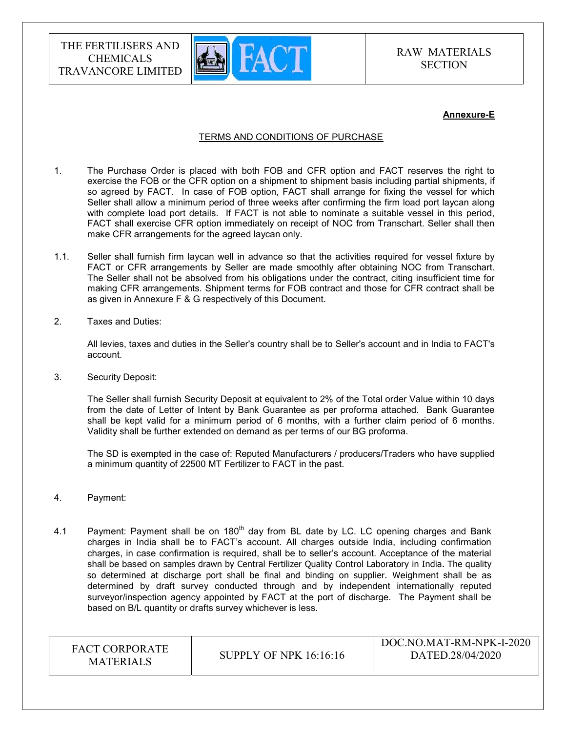

#### Annexure-E

#### TERMS AND CONDITIONS OF PURCHASE

- 1. The Purchase Order is placed with both FOB and CFR option and FACT reserves the right to exercise the FOB or the CFR option on a shipment to shipment basis including partial shipments, if so agreed by FACT. In case of FOB option, FACT shall arrange for fixing the vessel for which Seller shall allow a minimum period of three weeks after confirming the firm load port laycan along with complete load port details. If FACT is not able to nominate a suitable vessel in this period, FACT shall exercise CFR option immediately on receipt of NOC from Transchart. Seller shall then make CFR arrangements for the agreed laycan only.
- 1.1. Seller shall furnish firm laycan well in advance so that the activities required for vessel fixture by FACT or CFR arrangements by Seller are made smoothly after obtaining NOC from Transchart. The Seller shall not be absolved from his obligations under the contract, citing insufficient time for making CFR arrangements. Shipment terms for FOB contract and those for CFR contract shall be as given in Annexure F & G respectively of this Document.
- 2. Taxes and Duties:

All levies, taxes and duties in the Seller's country shall be to Seller's account and in India to FACT's account.

3. Security Deposit:

The Seller shall furnish Security Deposit at equivalent to 2% of the Total order Value within 10 days from the date of Letter of Intent by Bank Guarantee as per proforma attached. Bank Guarantee shall be kept valid for a minimum period of 6 months, with a further claim period of 6 months. Validity shall be further extended on demand as per terms of our BG proforma.

The SD is exempted in the case of: Reputed Manufacturers / producers/Traders who have supplied a minimum quantity of 22500 MT Fertilizer to FACT in the past.

- 4. Payment:
- 4.1 Payment: Payment shall be on  $180<sup>th</sup>$  day from BL date by LC. LC opening charges and Bank charges in India shall be to FACT's account. All charges outside India, including confirmation charges, in case confirmation is required, shall be to seller's account. Acceptance of the material shall be based on samples drawn by Central Fertilizer Quality Control Laboratory in India. The quality so determined at discharge port shall be final and binding on supplier. Weighment shall be as determined by draft survey conducted through and by independent internationally reputed surveyor/inspection agency appointed by FACT at the port of discharge. The Payment shall be based on B/L quantity or drafts survey whichever is less.

| <b>FACT CORPORATE</b><br><b>MATERIALS</b> | SUPPLY OF NPK $16:16:16$ | DOC.NO.MAT-RM-NPK-I-2020<br>DATED.28/04/2020 |
|-------------------------------------------|--------------------------|----------------------------------------------|
|-------------------------------------------|--------------------------|----------------------------------------------|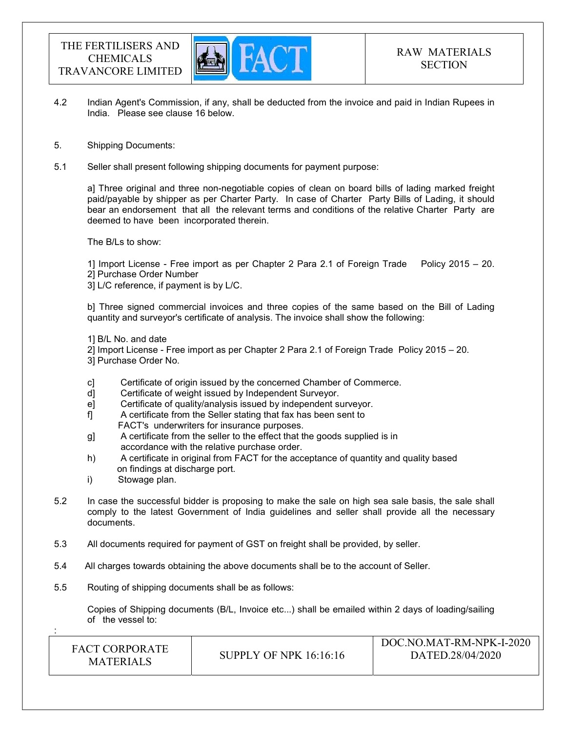

- 4.2 Indian Agent's Commission, if any, shall be deducted from the invoice and paid in Indian Rupees in India. Please see clause 16 below.
- 5. Shipping Documents:
- 5.1 Seller shall present following shipping documents for payment purpose:

a] Three original and three non-negotiable copies of clean on board bills of lading marked freight paid/payable by shipper as per Charter Party. In case of Charter Party Bills of Lading, it should bear an endorsement that all the relevant terms and conditions of the relative Charter Party are deemed to have been incorporated therein.

The B/Ls to show:

1] Import License - Free import as per Chapter 2 Para 2.1 of Foreign Trade Policy 2015 – 20. 2] Purchase Order Number

3] L/C reference, if payment is by L/C.

b] Three signed commercial invoices and three copies of the same based on the Bill of Lading quantity and surveyor's certificate of analysis. The invoice shall show the following:

1] B/L No. and date

- 2] Import License Free import as per Chapter 2 Para 2.1 of Foreign Trade Policy 2015 20.
- 3] Purchase Order No.
- c] Certificate of origin issued by the concerned Chamber of Commerce.
- d] Certificate of weight issued by Independent Surveyor.
- e] Certificate of quality/analysis issued by independent surveyor.
- f] A certificate from the Seller stating that fax has been sent to FACT's underwriters for insurance purposes.
- g] A certificate from the seller to the effect that the goods supplied is in accordance with the relative purchase order.
- h) A certificate in original from FACT for the acceptance of quantity and quality based on findings at discharge port.
- i) Stowage plan.

:

- 5.2 In case the successful bidder is proposing to make the sale on high sea sale basis, the sale shall comply to the latest Government of India guidelines and seller shall provide all the necessary documents.
- 5.3 All documents required for payment of GST on freight shall be provided, by seller.
- 5.4 All charges towards obtaining the above documents shall be to the account of Seller.
- 5.5 Routing of shipping documents shall be as follows:

 Copies of Shipping documents (B/L, Invoice etc...) shall be emailed within 2 days of loading/sailing of the vessel to:

| <b>FACT CORPORATE</b><br><b>MATERIALS</b> | SUPPLY OF NPK $16:16:16$ | DOC.NO.MAT-RM-NPK-I-2020<br>DATED.28/04/2020 |
|-------------------------------------------|--------------------------|----------------------------------------------|
|-------------------------------------------|--------------------------|----------------------------------------------|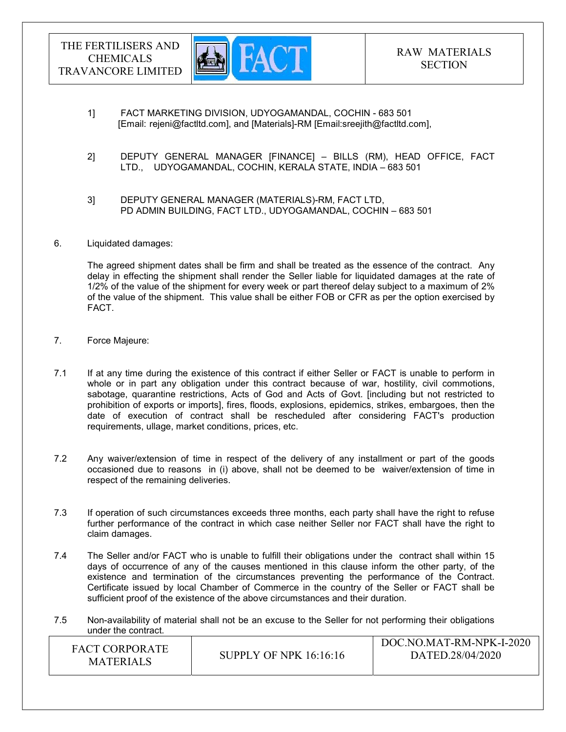

- 1] FACT MARKETING DIVISION, UDYOGAMANDAL, COCHIN 683 501 [Email: rejeni@factltd.com], and [Materials]-RM [Email:sreejith@factltd.com],
- 2] DEPUTY GENERAL MANAGER [FINANCE] BILLS (RM), HEAD OFFICE, FACT LTD., UDYOGAMANDAL, COCHIN, KERALA STATE, INDIA – 683 501
- 3] DEPUTY GENERAL MANAGER (MATERIALS)-RM, FACT LTD, PD ADMIN BUILDING, FACT LTD., UDYOGAMANDAL, COCHIN – 683 501
- 6. Liquidated damages:

The agreed shipment dates shall be firm and shall be treated as the essence of the contract. Any delay in effecting the shipment shall render the Seller liable for liquidated damages at the rate of 1/2% of the value of the shipment for every week or part thereof delay subject to a maximum of 2% of the value of the shipment. This value shall be either FOB or CFR as per the option exercised by FACT.

- 7. Force Majeure:
- 7.1 If at any time during the existence of this contract if either Seller or FACT is unable to perform in whole or in part any obligation under this contract because of war, hostility, civil commotions, sabotage, quarantine restrictions, Acts of God and Acts of Govt. [including but not restricted to prohibition of exports or imports], fires, floods, explosions, epidemics, strikes, embargoes, then the date of execution of contract shall be rescheduled after considering FACT's production requirements, ullage, market conditions, prices, etc.
- 7.2 Any waiver/extension of time in respect of the delivery of any installment or part of the goods occasioned due to reasons in (i) above, shall not be deemed to be waiver/extension of time in respect of the remaining deliveries.
- 7.3 If operation of such circumstances exceeds three months, each party shall have the right to refuse further performance of the contract in which case neither Seller nor FACT shall have the right to claim damages.
- 7.4 The Seller and/or FACT who is unable to fulfill their obligations under the contract shall within 15 days of occurrence of any of the causes mentioned in this clause inform the other party, of the existence and termination of the circumstances preventing the performance of the Contract. Certificate issued by local Chamber of Commerce in the country of the Seller or FACT shall be sufficient proof of the existence of the above circumstances and their duration.
- 7.5 Non-availability of material shall not be an excuse to the Seller for not performing their obligations under the contract.

| <b>FACT CORPORATE</b> |                               | DOC.NO.MAT-RM-NPK-I-2020 |
|-----------------------|-------------------------------|--------------------------|
| <b>MATERIALS</b>      | <b>SUPPLY OF NPK 16:16:16</b> | DATED.28/04/2020         |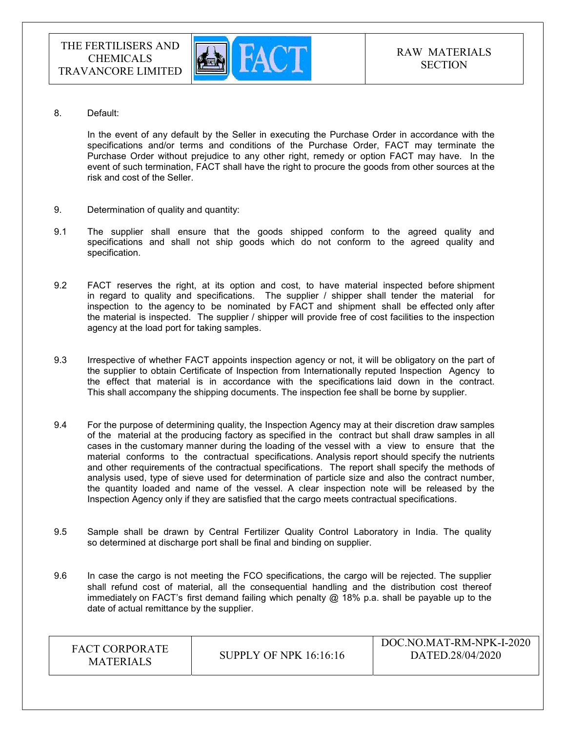

8. Default:

In the event of any default by the Seller in executing the Purchase Order in accordance with the specifications and/or terms and conditions of the Purchase Order, FACT may terminate the Purchase Order without prejudice to any other right, remedy or option FACT may have. In the event of such termination, FACT shall have the right to procure the goods from other sources at the risk and cost of the Seller.

- 9. Determination of quality and quantity:
- 9.1 The supplier shall ensure that the goods shipped conform to the agreed quality and specifications and shall not ship goods which do not conform to the agreed quality and specification.
- 9.2 FACT reserves the right, at its option and cost, to have material inspected before shipment in regard to quality and specifications. The supplier / shipper shall tender the material for inspection to the agency to be nominated by FACT and shipment shall be effected only after the material is inspected. The supplier / shipper will provide free of cost facilities to the inspection agency at the load port for taking samples.
- 9.3 Irrespective of whether FACT appoints inspection agency or not, it will be obligatory on the part of the supplier to obtain Certificate of Inspection from Internationally reputed Inspection Agency to the effect that material is in accordance with the specifications laid down in the contract. This shall accompany the shipping documents. The inspection fee shall be borne by supplier.
- 9.4 For the purpose of determining quality, the Inspection Agency may at their discretion draw samples of the material at the producing factory as specified in the contract but shall draw samples in all cases in the customary manner during the loading of the vessel with a view to ensure that the material conforms to the contractual specifications. Analysis report should specify the nutrients and other requirements of the contractual specifications. The report shall specify the methods of analysis used, type of sieve used for determination of particle size and also the contract number, the quantity loaded and name of the vessel. A clear inspection note will be released by the Inspection Agency only if they are satisfied that the cargo meets contractual specifications.
- 9.5 Sample shall be drawn by Central Fertilizer Quality Control Laboratory in India. The quality so determined at discharge port shall be final and binding on supplier.
- 9.6 In case the cargo is not meeting the FCO specifications, the cargo will be rejected. The supplier shall refund cost of material, all the consequential handling and the distribution cost thereof immediately on FACT's first demand failing which penalty  $@$  18% p.a. shall be payable up to the date of actual remittance by the supplier.

| <b>FACT CORPORATE</b><br><b>MATERIALS</b> | <b>SUPPLY OF NPK 16:16:16</b> | DOC.NO.MAT-RM-NPK-I-2020<br>DATED.28/04/2020 |
|-------------------------------------------|-------------------------------|----------------------------------------------|
|-------------------------------------------|-------------------------------|----------------------------------------------|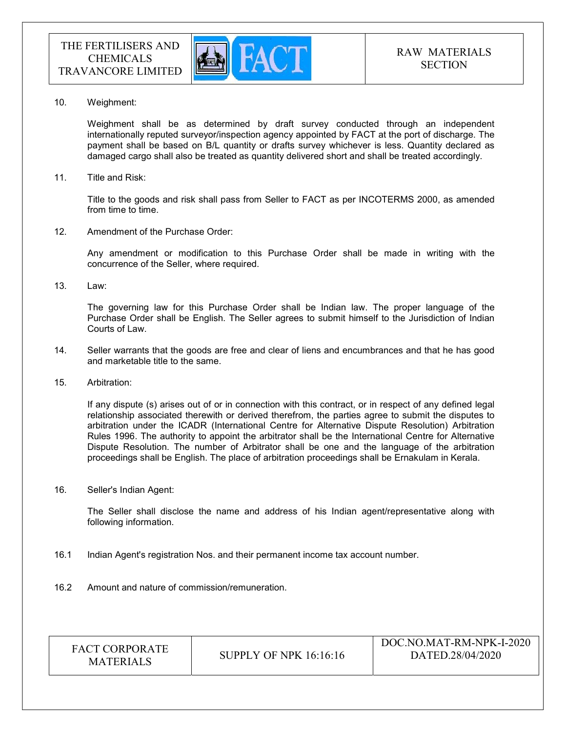

10. Weighment:

 Weighment shall be as determined by draft survey conducted through an independent internationally reputed surveyor/inspection agency appointed by FACT at the port of discharge. The payment shall be based on B/L quantity or drafts survey whichever is less. Quantity declared as damaged cargo shall also be treated as quantity delivered short and shall be treated accordingly.

11. Title and Risk:

Title to the goods and risk shall pass from Seller to FACT as per INCOTERMS 2000, as amended from time to time.

12. Amendment of the Purchase Order:

Any amendment or modification to this Purchase Order shall be made in writing with the concurrence of the Seller, where required.

13. Law:

The governing law for this Purchase Order shall be Indian law. The proper language of the Purchase Order shall be English. The Seller agrees to submit himself to the Jurisdiction of Indian Courts of Law.

- 14. Seller warrants that the goods are free and clear of liens and encumbrances and that he has good and marketable title to the same.
- 15. Arbitration:

If any dispute (s) arises out of or in connection with this contract, or in respect of any defined legal relationship associated therewith or derived therefrom, the parties agree to submit the disputes to arbitration under the ICADR (International Centre for Alternative Dispute Resolution) Arbitration Rules 1996. The authority to appoint the arbitrator shall be the International Centre for Alternative Dispute Resolution. The number of Arbitrator shall be one and the language of the arbitration proceedings shall be English. The place of arbitration proceedings shall be Ernakulam in Kerala.

16. Seller's Indian Agent:

The Seller shall disclose the name and address of his Indian agent/representative along with following information.

- 16.1 Indian Agent's registration Nos. and their permanent income tax account number.
- 16.2 Amount and nature of commission/remuneration.

| <b>FACT CORPORATE</b><br>SUPPLY OF NPK 16:16:16<br><b>MATERIALS</b> | DOC.NO.MAT-RM-NPK-I-2020<br>DATED.28/04/2020 |
|---------------------------------------------------------------------|----------------------------------------------|
|---------------------------------------------------------------------|----------------------------------------------|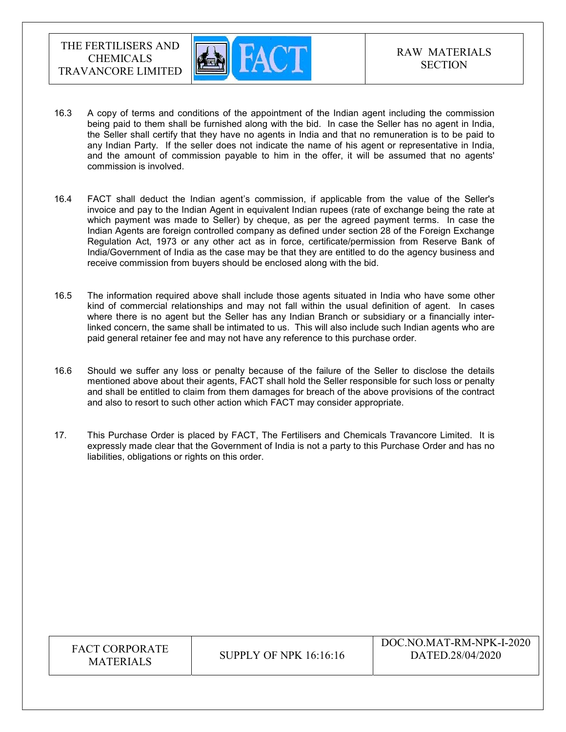

- 16.3 A copy of terms and conditions of the appointment of the Indian agent including the commission being paid to them shall be furnished along with the bid. In case the Seller has no agent in India, the Seller shall certify that they have no agents in India and that no remuneration is to be paid to any Indian Party. If the seller does not indicate the name of his agent or representative in India, and the amount of commission payable to him in the offer, it will be assumed that no agents' commission is involved.
- 16.4 FACT shall deduct the Indian agent's commission, if applicable from the value of the Seller's invoice and pay to the Indian Agent in equivalent Indian rupees (rate of exchange being the rate at which payment was made to Seller) by cheque, as per the agreed payment terms. In case the Indian Agents are foreign controlled company as defined under section 28 of the Foreign Exchange Regulation Act, 1973 or any other act as in force, certificate/permission from Reserve Bank of India/Government of India as the case may be that they are entitled to do the agency business and receive commission from buyers should be enclosed along with the bid.
- 16.5 The information required above shall include those agents situated in India who have some other kind of commercial relationships and may not fall within the usual definition of agent. In cases where there is no agent but the Seller has any Indian Branch or subsidiary or a financially interlinked concern, the same shall be intimated to us. This will also include such Indian agents who are paid general retainer fee and may not have any reference to this purchase order.
- 16.6 Should we suffer any loss or penalty because of the failure of the Seller to disclose the details mentioned above about their agents, FACT shall hold the Seller responsible for such loss or penalty and shall be entitled to claim from them damages for breach of the above provisions of the contract and also to resort to such other action which FACT may consider appropriate.
- 17. This Purchase Order is placed by FACT, The Fertilisers and Chemicals Travancore Limited. It is expressly made clear that the Government of India is not a party to this Purchase Order and has no liabilities, obligations or rights on this order.

| <b>FACT CORPORATE</b><br><b>MATERIALS</b> | <b>SUPPLY OF NPK 16:16:16</b> | DOC.NO.MAT-RM-NPK-I-2020<br>DATED.28/04/2020 |
|-------------------------------------------|-------------------------------|----------------------------------------------|
|-------------------------------------------|-------------------------------|----------------------------------------------|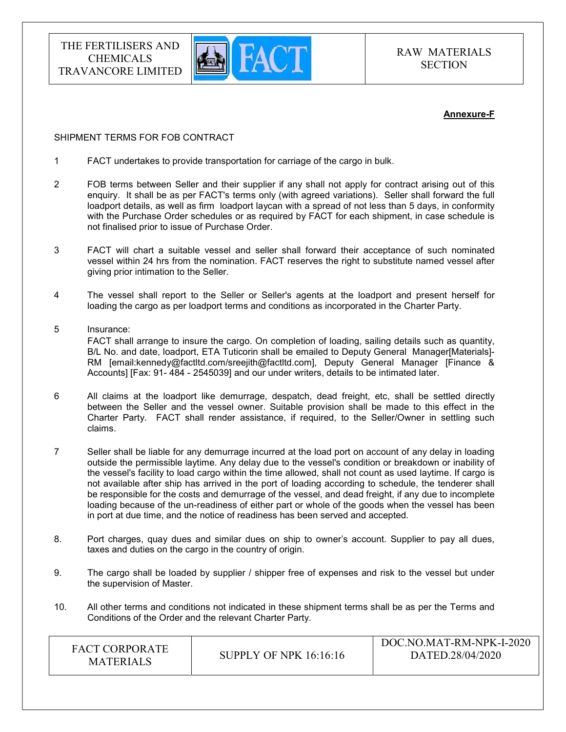

#### Annexure-F

#### SHIPMENT TERMS FOR FOB CONTRACT

- 1 FACT undertakes to provide transportation for carriage of the cargo in bulk.
- 2 FOB terms between Seller and their supplier if any shall not apply for contract arising out of this enquiry. It shall be as per FACT's terms only (with agreed variations). Seller shall forward the full loadport details, as well as firm loadport laycan with a spread of not less than 5 days, in conformity with the Purchase Order schedules or as required by FACT for each shipment, in case schedule is not finalised prior to issue of Purchase Order.
- 3 FACT will chart a suitable vessel and seller shall forward their acceptance of such nominated vessel within 24 hrs from the nomination. FACT reserves the right to substitute named vessel after giving prior intimation to the Seller.
- 4 The vessel shall report to the Seller or Seller's agents at the loadport and present herself for loading the cargo as per loadport terms and conditions as incorporated in the Charter Party.
- 5 Insurance: FACT shall arrange to insure the cargo. On completion of loading, sailing details such as quantity, B/L No. and date, loadport, ETA Tuticorin shall be emailed to Deputy General Manager[Materials]- RM [email:kennedy@factltd.com/sreejith@factltd.com], Deputy General Manager [Finance & Accounts] [Fax: 91- 484 - 2545039] and our under writers, details to be intimated later.
- 6 All claims at the loadport like demurrage, despatch, dead freight, etc, shall be settled directly between the Seller and the vessel owner. Suitable provision shall be made to this effect in the Charter Party. FACT shall render assistance, if required, to the Seller/Owner in settling such claims.
- 7 Seller shall be liable for any demurrage incurred at the load port on account of any delay in loading outside the permissible laytime. Any delay due to the vessel's condition or breakdown or inability of the vessel's facility to load cargo within the time allowed, shall not count as used laytime. If cargo is not available after ship has arrived in the port of loading according to schedule, the tenderer shall be responsible for the costs and demurrage of the vessel, and dead freight, if any due to incomplete loading because of the un-readiness of either part or whole of the goods when the vessel has been in port at due time, and the notice of readiness has been served and accepted.
- 8. Port charges, quay dues and similar dues on ship to owner's account. Supplier to pay all dues, taxes and duties on the cargo in the country of origin.
- 9. The cargo shall be loaded by supplier / shipper free of expenses and risk to the vessel but under the supervision of Master.
- 10. All other terms and conditions not indicated in these shipment terms shall be as per the Terms and Conditions of the Order and the relevant Charter Party.

| <b>FACT CORPORATE</b><br><b>MATERIALS</b> | DOC.NO.MAT-RM-NPK-I-2020<br>DATED.28/04/2020<br><b>SUPPLY OF NPK 16:16:16</b> |
|-------------------------------------------|-------------------------------------------------------------------------------|
|-------------------------------------------|-------------------------------------------------------------------------------|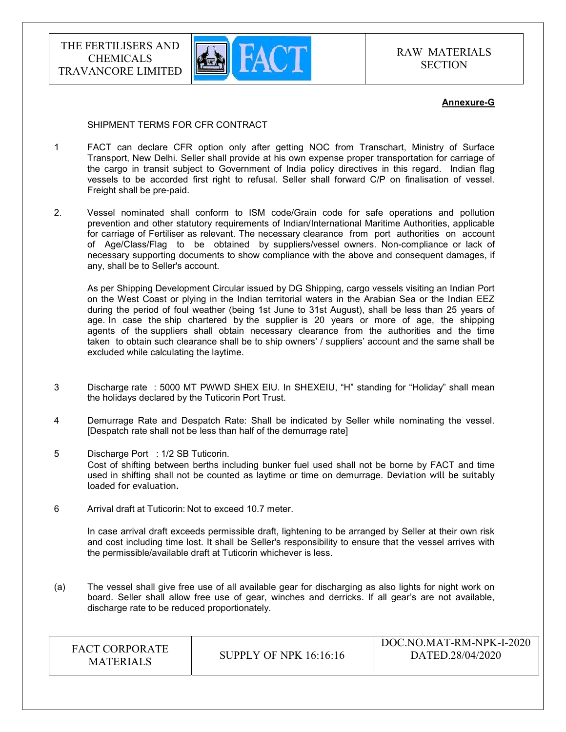

RAW MATERIALS **SECTION** 

#### Annexure-G

#### SHIPMENT TERMS FOR CFR CONTRACT

- 1 FACT can declare CFR option only after getting NOC from Transchart, Ministry of Surface Transport, New Delhi. Seller shall provide at his own expense proper transportation for carriage of the cargo in transit subject to Government of India policy directives in this regard. Indian flag vessels to be accorded first right to refusal. Seller shall forward C/P on finalisation of vessel. Freight shall be pre-paid.
- 2. Vessel nominated shall conform to ISM code/Grain code for safe operations and pollution prevention and other statutory requirements of Indian/International Maritime Authorities, applicable for carriage of Fertiliser as relevant. The necessary clearance from port authorities on account of Age/Class/Flag to be obtained by suppliers/vessel owners. Non-compliance or lack of necessary supporting documents to show compliance with the above and consequent damages, if any, shall be to Seller's account.

 As per Shipping Development Circular issued by DG Shipping, cargo vessels visiting an Indian Port on the West Coast or plying in the Indian territorial waters in the Arabian Sea or the Indian EEZ during the period of foul weather (being 1st June to 31st August), shall be less than 25 years of age. In case the ship chartered by the supplier is 20 years or more of age, the shipping agents of the suppliers shall obtain necessary clearance from the authorities and the time taken to obtain such clearance shall be to ship owners' / suppliers' account and the same shall be excluded while calculating the laytime.

- 3 Discharge rate : 5000 MT PWWD SHEX EIU. In SHEXEIU, "H" standing for "Holiday" shall mean the holidays declared by the Tuticorin Port Trust.
- 4 Demurrage Rate and Despatch Rate: Shall be indicated by Seller while nominating the vessel. [Despatch rate shall not be less than half of the demurrage rate]
- 5 Discharge Port : 1/2 SB Tuticorin. Cost of shifting between berths including bunker fuel used shall not be borne by FACT and time used in shifting shall not be counted as laytime or time on demurrage. Deviation will be suitably loaded for evaluation.
- 6 Arrival draft at Tuticorin: Not to exceed 10.7 meter.

 In case arrival draft exceeds permissible draft, lightening to be arranged by Seller at their own risk and cost including time lost. It shall be Seller's responsibility to ensure that the vessel arrives with the permissible/available draft at Tuticorin whichever is less.

(a) The vessel shall give free use of all available gear for discharging as also lights for night work on board. Seller shall allow free use of gear, winches and derricks. If all gear's are not available, discharge rate to be reduced proportionately.

| <b>FACT CORPORATE</b><br><b>MATERIALS</b> | <b>SUPPLY OF NPK 16:16:16</b> | DOC.NO.MAT-RM-NPK-I-2020<br>DATED.28/04/2020 |
|-------------------------------------------|-------------------------------|----------------------------------------------|
|-------------------------------------------|-------------------------------|----------------------------------------------|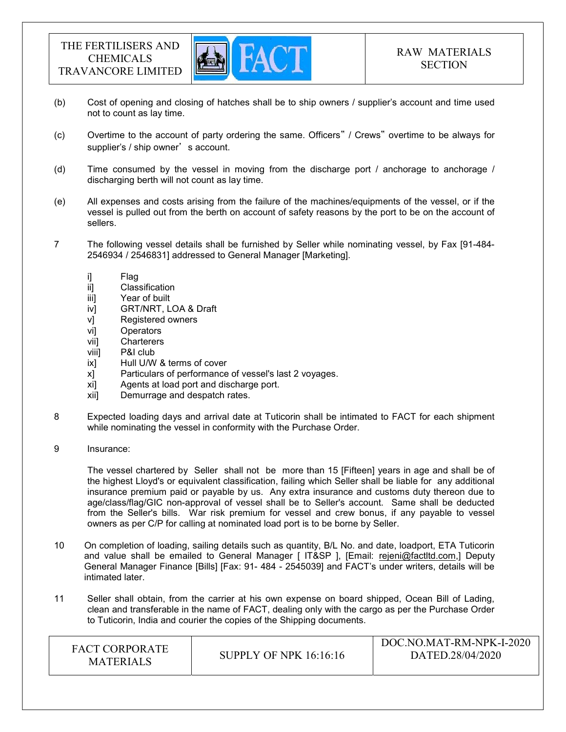

- (b) Cost of opening and closing of hatches shall be to ship owners / supplier's account and time used not to count as lay time.
- (c) Overtime to the account of party ordering the same. Officers" / Crews" overtime to be always for supplier's / ship owner's account.
- (d) Time consumed by the vessel in moving from the discharge port / anchorage to anchorage / discharging berth will not count as lay time.
- (e) All expenses and costs arising from the failure of the machines/equipments of the vessel, or if the vessel is pulled out from the berth on account of safety reasons by the port to be on the account of sellers.
- 7 The following vessel details shall be furnished by Seller while nominating vessel, by Fax [91-484- 2546934 / 2546831] addressed to General Manager [Marketing].
	-
	- i] Flag<br>ii] Clas Classification
	- iii] Year of built
	- iv] GRT/NRT, LOA & Draft
	- v] Registered owners
	- vi] Operators
	- vii] Charterers
	- viii] P&I club
	- ix] Hull U/W & terms of cover
	- x] Particulars of performance of vessel's last 2 voyages.
	- xi] Agents at load port and discharge port.
	- xii] Demurrage and despatch rates.
- 8 Expected loading days and arrival date at Tuticorin shall be intimated to FACT for each shipment while nominating the vessel in conformity with the Purchase Order.
- 9 Insurance:

 The vessel chartered by Seller shall not be more than 15 [Fifteen] years in age and shall be of the highest Lloyd's or equivalent classification, failing which Seller shall be liable for any additional insurance premium paid or payable by us. Any extra insurance and customs duty thereon due to age/class/flag/GIC non-approval of vessel shall be to Seller's account. Same shall be deducted from the Seller's bills. War risk premium for vessel and crew bonus, if any payable to vessel owners as per C/P for calling at nominated load port is to be borne by Seller.

- 10 On completion of loading, sailing details such as quantity, B/L No. and date, loadport, ETA Tuticorin and value shall be emailed to General Manager [ IT&SP ], [Email: rejeni@factltd.com,] Deputy General Manager Finance [Bills] [Fax: 91- 484 - 2545039] and FACT's under writers, details will be intimated later.
- 11 Seller shall obtain, from the carrier at his own expense on board shipped, Ocean Bill of Lading, clean and transferable in the name of FACT, dealing only with the cargo as per the Purchase Order to Tuticorin, India and courier the copies of the Shipping documents.

| <b>FACT CORPORATE</b><br><b>MATERIALS</b> | <b>SUPPLY OF NPK 16:16:16</b> | DOC.NO.MAT-RM-NPK-I-2020<br>DATED.28/04/2020 |
|-------------------------------------------|-------------------------------|----------------------------------------------|
|-------------------------------------------|-------------------------------|----------------------------------------------|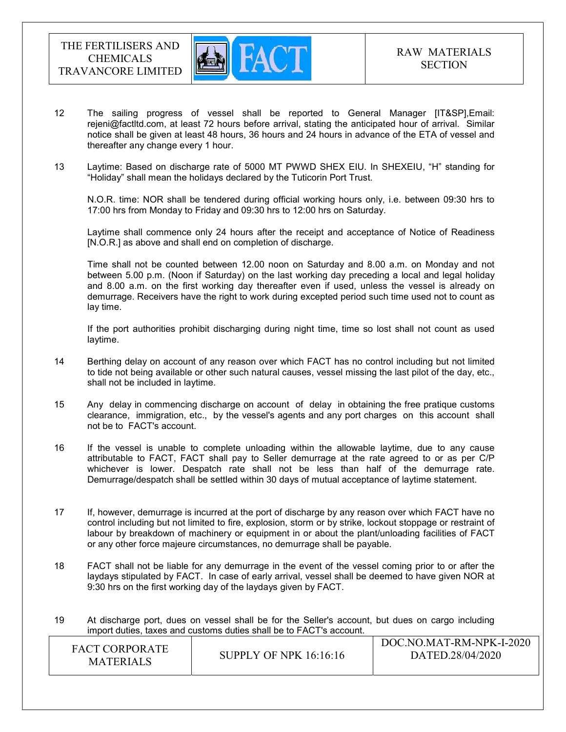

- 12 The sailing progress of vessel shall be reported to General Manager [IT&SP],Email: rejeni@factltd.com, at least 72 hours before arrival, stating the anticipated hour of arrival. Similar notice shall be given at least 48 hours, 36 hours and 24 hours in advance of the ETA of vessel and thereafter any change every 1 hour.
- 13 Laytime: Based on discharge rate of 5000 MT PWWD SHEX EIU. In SHEXEIU, "H" standing for "Holiday" shall mean the holidays declared by the Tuticorin Port Trust.

 N.O.R. time: NOR shall be tendered during official working hours only, i.e. between 09:30 hrs to 17:00 hrs from Monday to Friday and 09:30 hrs to 12:00 hrs on Saturday.

 Laytime shall commence only 24 hours after the receipt and acceptance of Notice of Readiness [N.O.R.] as above and shall end on completion of discharge.

 Time shall not be counted between 12.00 noon on Saturday and 8.00 a.m. on Monday and not between 5.00 p.m. (Noon if Saturday) on the last working day preceding a local and legal holiday and 8.00 a.m. on the first working day thereafter even if used, unless the vessel is already on demurrage. Receivers have the right to work during excepted period such time used not to count as lay time.

 If the port authorities prohibit discharging during night time, time so lost shall not count as used laytime.

- 14 Berthing delay on account of any reason over which FACT has no control including but not limited to tide not being available or other such natural causes, vessel missing the last pilot of the day, etc., shall not be included in laytime.
- 15 Any delay in commencing discharge on account of delay in obtaining the free pratique customs clearance, immigration, etc., by the vessel's agents and any port charges on this account shall not be to FACT's account.
- 16 If the vessel is unable to complete unloading within the allowable laytime, due to any cause attributable to FACT, FACT shall pay to Seller demurrage at the rate agreed to or as per C/P whichever is lower. Despatch rate shall not be less than half of the demurrage rate. Demurrage/despatch shall be settled within 30 days of mutual acceptance of laytime statement.
- 17 If, however, demurrage is incurred at the port of discharge by any reason over which FACT have no control including but not limited to fire, explosion, storm or by strike, lockout stoppage or restraint of labour by breakdown of machinery or equipment in or about the plant/unloading facilities of FACT or any other force majeure circumstances, no demurrage shall be payable.
- 18 FACT shall not be liable for any demurrage in the event of the vessel coming prior to or after the laydays stipulated by FACT. In case of early arrival, vessel shall be deemed to have given NOR at 9:30 hrs on the first working day of the laydays given by FACT.
- 19 At discharge port, dues on vessel shall be for the Seller's account, but dues on cargo including import duties, taxes and customs duties shall be to FACT's account.

| DOC.NO.MAT-RM-NPK-I-2020<br><b>FACT CORPORATE</b><br>DATED.28/04/2020<br>SUPPLY OF NPK $16:16:16$<br><b>MATERIALS</b> |
|-----------------------------------------------------------------------------------------------------------------------|
|-----------------------------------------------------------------------------------------------------------------------|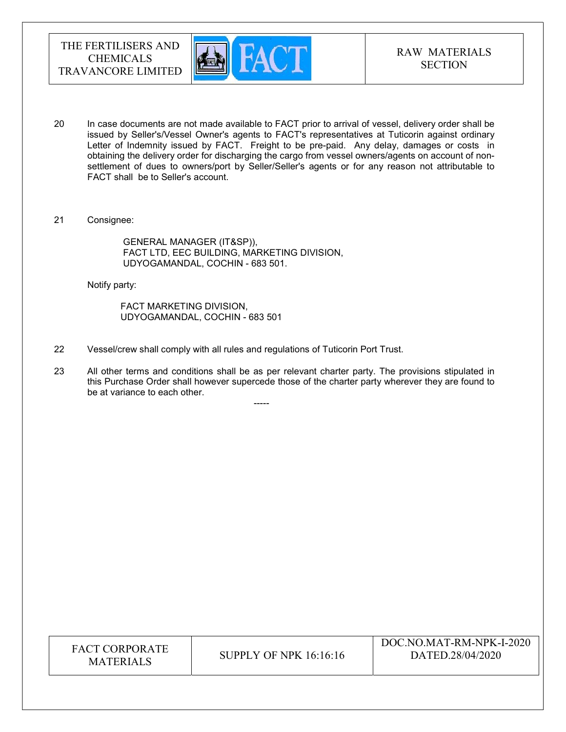

- 20 In case documents are not made available to FACT prior to arrival of vessel, delivery order shall be issued by Seller's/Vessel Owner's agents to FACT's representatives at Tuticorin against ordinary Letter of Indemnity issued by FACT. Freight to be pre-paid. Any delay, damages or costs in obtaining the delivery order for discharging the cargo from vessel owners/agents on account of nonsettlement of dues to owners/port by Seller/Seller's agents or for any reason not attributable to FACT shall be to Seller's account.
- 21 Consignee:

 GENERAL MANAGER (IT&SP)), FACT LTD, EEC BUILDING, MARKETING DIVISION, UDYOGAMANDAL, COCHIN - 683 501.

Notify party:

 FACT MARKETING DIVISION, UDYOGAMANDAL, COCHIN - 683 501

-----

- 22 Vessel/crew shall comply with all rules and regulations of Tuticorin Port Trust.
- 23 All other terms and conditions shall be as per relevant charter party. The provisions stipulated in this Purchase Order shall however supercede those of the charter party wherever they are found to be at variance to each other.

| <b>FACT CORPORATE</b><br><b>MATERIALS</b> | SUPPLY OF NPK 16:16:16 | DOC.NO.MAT-RM-NPK-I-2020<br>DATED.28/04/2020 |
|-------------------------------------------|------------------------|----------------------------------------------|
|-------------------------------------------|------------------------|----------------------------------------------|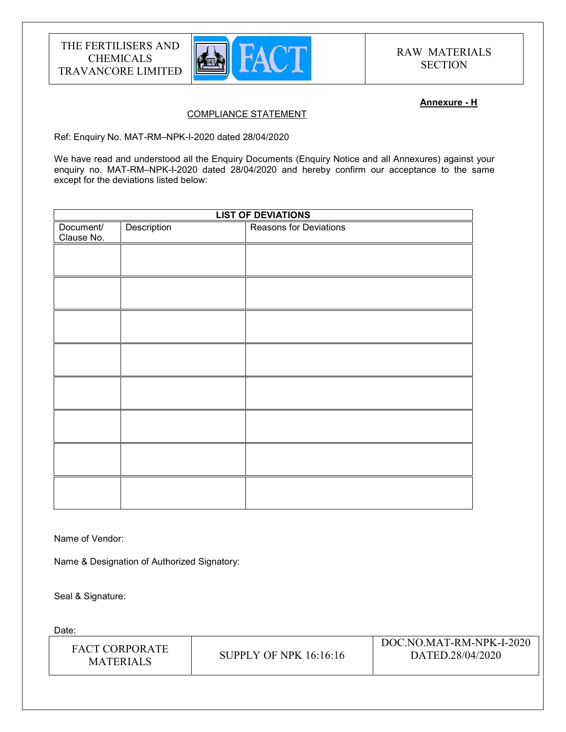

#### Annexure - H

## COMPLIANCE STATEMENT

Ref: Enquiry No. MAT-RM–NPK-I-2020 dated 28/04/2020

We have read and understood all the Enquiry Documents (Enquiry Notice and all Annexures) against your enquiry no. MAT-RM–NPK-I-2020 dated 28/04/2020 and hereby confirm our acceptance to the same except for the deviations listed below:

| <b>LIST OF DEVIATIONS</b> |             |                        |
|---------------------------|-------------|------------------------|
| Document/<br>Clause No.   | Description | Reasons for Deviations |
|                           |             |                        |
|                           |             |                        |
|                           |             |                        |
|                           |             |                        |
|                           |             |                        |
|                           |             |                        |
|                           |             |                        |
|                           |             |                        |
|                           |             |                        |

Name of Vendor:

Name & Designation of Authorized Signatory:

Seal & Signature:

Date:

| FACT CORPORATE<br><b>MATERIALS</b> | <b>SUPPLY OF NPK 16:16:16</b> | DOC.NO.MAT-RM-NPK-I-2020<br>DATED.28/04/2020 |
|------------------------------------|-------------------------------|----------------------------------------------|
|------------------------------------|-------------------------------|----------------------------------------------|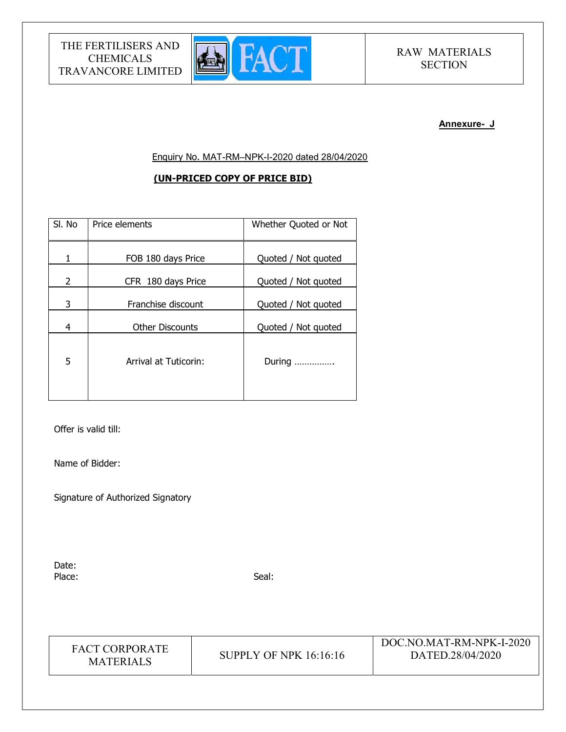

# RAW MATERIALS **SECTION**

#### Annexure- J

Enquiry No. MAT-RM–NPK-I-2020 dated 28/04/2020

## (UN-PRICED COPY OF PRICE BID)

| SI. No         | Price elements         | Whether Quoted or Not |
|----------------|------------------------|-----------------------|
| 1              | FOB 180 days Price     | Quoted / Not quoted   |
| $\overline{2}$ | CFR 180 days Price     | Quoted / Not quoted   |
| 3              | Franchise discount     | Quoted / Not quoted   |
| 4              | <b>Other Discounts</b> | Quoted / Not quoted   |
| 5              | Arrival at Tuticorin:  | During                |

Offer is valid till:

Name of Bidder:

Signature of Authorized Signatory

Date: Place: Seal: Seal: Seal: Seal: Seal: Seal: Seal: Seal: Seal: Seal: Seal: Seal: Seal: Seal: Seal: Seal: Seal: Seal: Seal: Seal: Seal: Seal: Seal: Seal: Seal: Seal: Seal: Seal: Seal: Seal: Seal: Seal: Seal: Seal: Seal: Seal:

| <b>FACT CORPORATE</b> |
|-----------------------|
| <b>MATERIALS</b>      |

**SUPPLY OF NPK 16:16:16** 

DOC.NO.MAT-RM-NPK-I-2020 DATED.28/04/2020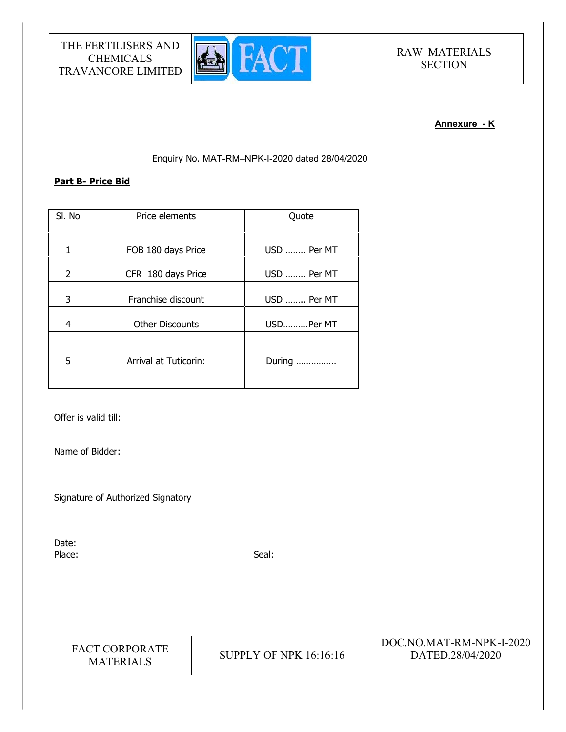

# RAW MATERIALS **SECTION**

#### Annexure - K

#### Enquiry No. MAT-RM–NPK-I-2020 dated 28/04/2020

### Part B- Price Bid

| SI. No | Price elements               | Quote       |
|--------|------------------------------|-------------|
| 1      | FOB 180 days Price           | USD  Per MT |
| 2      | CFR 180 days Price           | USD  Per MT |
| 3      | Franchise discount           | USD  Per MT |
| 4      | <b>Other Discounts</b>       | USDPer MT   |
| 5      | <b>Arrival at Tuticorin:</b> | During      |

Offer is valid till:

Name of Bidder:

Signature of Authorized Signatory

Date: Place: Seal: Seal: Seal: Seal: Seal: Seal: Seal: Seal: Seal: Seal: Seal: Seal: Seal: Seal: Seal: Seal: Seal: Seal: Seal: Seal: Seal: Seal: Seal: Seal: Seal: Seal: Seal: Seal: Seal: Seal: Seal: Seal: Seal: Seal: Seal: Seal:

| <b>FACT CORPORATE</b><br><b>MATERIALS</b> | SUPPLY OF NPK 16:16:16 | DOC.NO.MAT-RM-NPK-I-2020<br>DATED.28/04/2020 |
|-------------------------------------------|------------------------|----------------------------------------------|
|-------------------------------------------|------------------------|----------------------------------------------|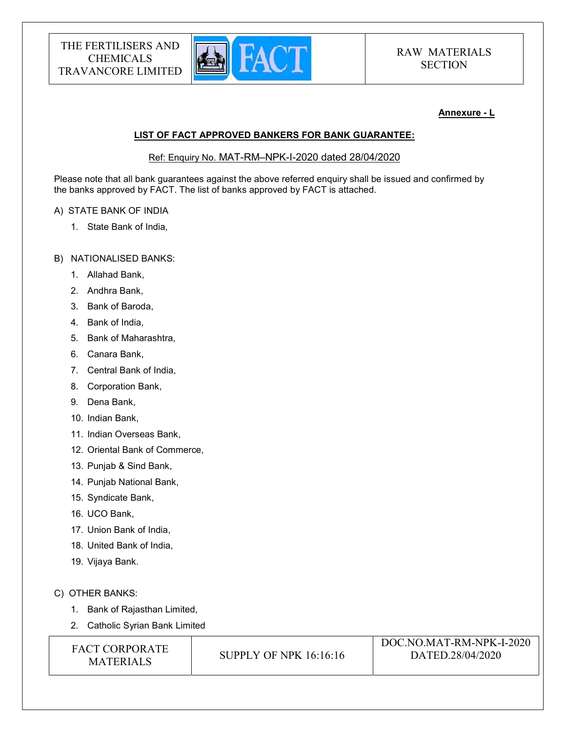

#### Annexure - L

#### LIST OF FACT APPROVED BANKERS FOR BANK GUARANTEE:

Ref: Enquiry No. MAT-RM–NPK-I-2020 dated 28/04/2020

Please note that all bank guarantees against the above referred enquiry shall be issued and confirmed by the banks approved by FACT. The list of banks approved by FACT is attached.

#### A) STATE BANK OF INDIA

1. State Bank of India,

#### B) NATIONALISED BANKS:

- 1. Allahad Bank,
- 2. Andhra Bank,
- 3. Bank of Baroda,
- 4. Bank of India,
- 5. Bank of Maharashtra,
- 6. Canara Bank,
- 7. Central Bank of India,
- 8. Corporation Bank,
- 9. Dena Bank,
- 10. Indian Bank,
- 11. Indian Overseas Bank,
- 12. Oriental Bank of Commerce,
- 13. Punjab & Sind Bank,
- 14. Punjab National Bank,
- 15. Syndicate Bank,
- 16. UCO Bank,
- 17. Union Bank of India,
- 18. United Bank of India,
- 19. Vijaya Bank.

## C) OTHER BANKS:

- 1. Bank of Rajasthan Limited,
- 2. Catholic Syrian Bank Limited

| <b>FACT CORPORATE</b> |
|-----------------------|
| <b>MATERIALS</b>      |

**SUPPLY OF NPK 16:16:16**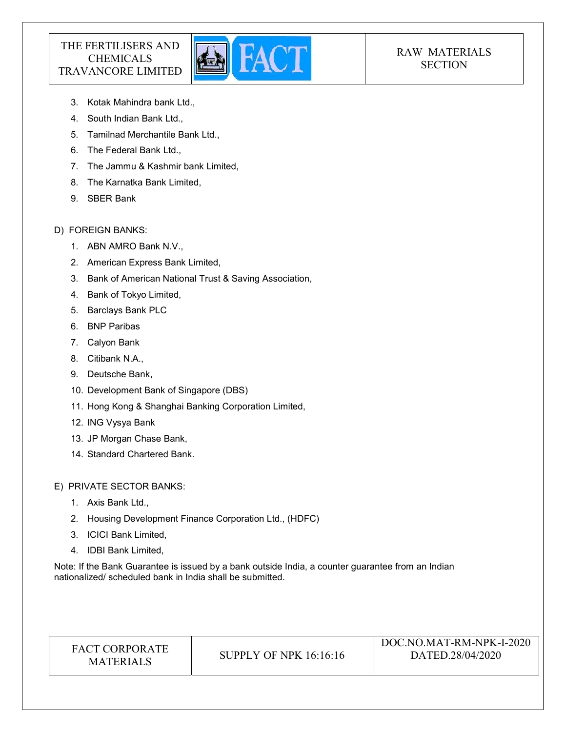

# RAW MATERIALS **SECTION**

- 3. Kotak Mahindra bank Ltd.,
- 4. South Indian Bank Ltd.,
- 5. Tamilnad Merchantile Bank Ltd.,
- 6. The Federal Bank Ltd.,
- 7. The Jammu & Kashmir bank Limited,
- 8. The Karnatka Bank Limited,
- 9. SBER Bank

## D) FOREIGN BANKS:

- 1. ABN AMRO Bank N.V.,
- 2. American Express Bank Limited,
- 3. Bank of American National Trust & Saving Association,
- 4. Bank of Tokyo Limited,
- 5. Barclays Bank PLC
- 6. BNP Paribas
- 7. Calyon Bank
- 8. Citibank N.A.,
- 9. Deutsche Bank,
- 10. Development Bank of Singapore (DBS)
- 11. Hong Kong & Shanghai Banking Corporation Limited,
- 12. ING Vysya Bank
- 13. JP Morgan Chase Bank,
- 14. Standard Chartered Bank.

E) PRIVATE SECTOR BANKS:

- 1. Axis Bank Ltd.,
- 2. Housing Development Finance Corporation Ltd., (HDFC)
- 3. ICICI Bank Limited,
- 4. IDBI Bank Limited,

Note: If the Bank Guarantee is issued by a bank outside India, a counter guarantee from an Indian nationalized/ scheduled bank in India shall be submitted.

| <b>FACT CORPORATE</b><br>SUPPLY OF NPK $16:16:16$<br><b>MATERIALS</b> | DOC.NO.MAT-RM-NPK-I-2020<br>DATED.28/04/2020 |
|-----------------------------------------------------------------------|----------------------------------------------|
|-----------------------------------------------------------------------|----------------------------------------------|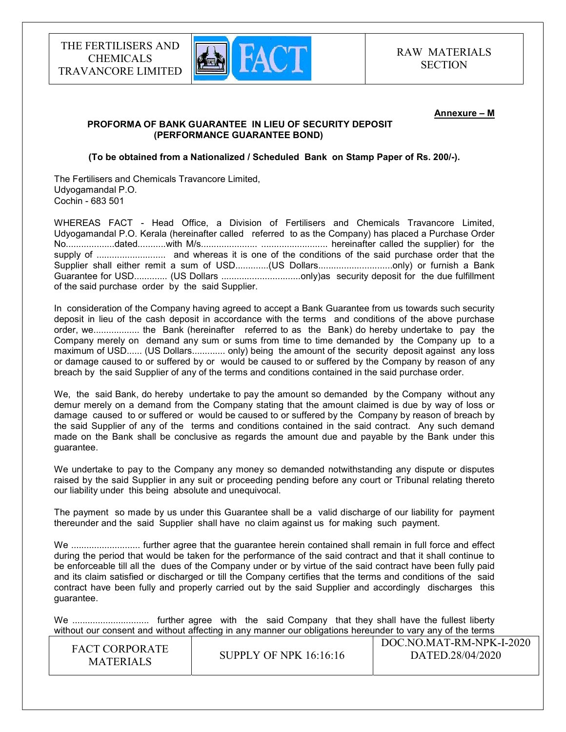

#### Annexure – M

#### PROFORMA OF BANK GUARANTEE IN LIEU OF SECURITY DEPOSIT (PERFORMANCE GUARANTEE BOND)

#### (To be obtained from a Nationalized / Scheduled Bank on Stamp Paper of Rs. 200/-).

The Fertilisers and Chemicals Travancore Limited, Udyogamandal P.O. Cochin - 683 501

WHEREAS FACT - Head Office, a Division of Fertilisers and Chemicals Travancore Limited, Udyogamandal P.O. Kerala (hereinafter called referred to as the Company) has placed a Purchase Order No...................dated...........with M/s...................... .......................... hereinafter called the supplier) for the supply of ........................... and whereas it is one of the conditions of the said purchase order that the Supplier shall either remit a sum of USD.............(US Dollars................................only) or furnish a Bank Guarantee for USD............. (US Dollars ...............................only)as security deposit for the due fulfillment of the said purchase order by the said Supplier.

In consideration of the Company having agreed to accept a Bank Guarantee from us towards such security deposit in lieu of the cash deposit in accordance with the terms and conditions of the above purchase order, we.................. the Bank (hereinafter referred to as the Bank) do hereby undertake to pay the Company merely on demand any sum or sums from time to time demanded by the Company up to a maximum of USD...... (US Dollars............. only) being the amount of the security deposit against any loss or damage caused to or suffered by or would be caused to or suffered by the Company by reason of any breach by the said Supplier of any of the terms and conditions contained in the said purchase order.

We, the said Bank, do hereby undertake to pay the amount so demanded by the Company without any demur merely on a demand from the Company stating that the amount claimed is due by way of loss or damage caused to or suffered or would be caused to or suffered by the Company by reason of breach by the said Supplier of any of the terms and conditions contained in the said contract. Any such demand made on the Bank shall be conclusive as regards the amount due and payable by the Bank under this guarantee.

We undertake to pay to the Company any money so demanded notwithstanding any dispute or disputes raised by the said Supplier in any suit or proceeding pending before any court or Tribunal relating thereto our liability under this being absolute and unequivocal.

The payment so made by us under this Guarantee shall be a valid discharge of our liability for payment thereunder and the said Supplier shall have no claim against us for making such payment.

We ........................... further agree that the guarantee herein contained shall remain in full force and effect during the period that would be taken for the performance of the said contract and that it shall continue to be enforceable till all the dues of the Company under or by virtue of the said contract have been fully paid and its claim satisfied or discharged or till the Company certifies that the terms and conditions of the said contract have been fully and properly carried out by the said Supplier and accordingly discharges this guarantee.

We .............................. further agree with the said Company that they shall have the fullest liberty without our consent and without affecting in any manner our obligations hereunder to vary any of the terms

| DATED.28/04/2020<br>SUPPLY OF NPK $16:16:16$<br><b>MATERIALS</b> | <b>FACT CORPORATE</b> |  | DOC.NO.MAT-RM-NPK-I-2020 |
|------------------------------------------------------------------|-----------------------|--|--------------------------|
|------------------------------------------------------------------|-----------------------|--|--------------------------|